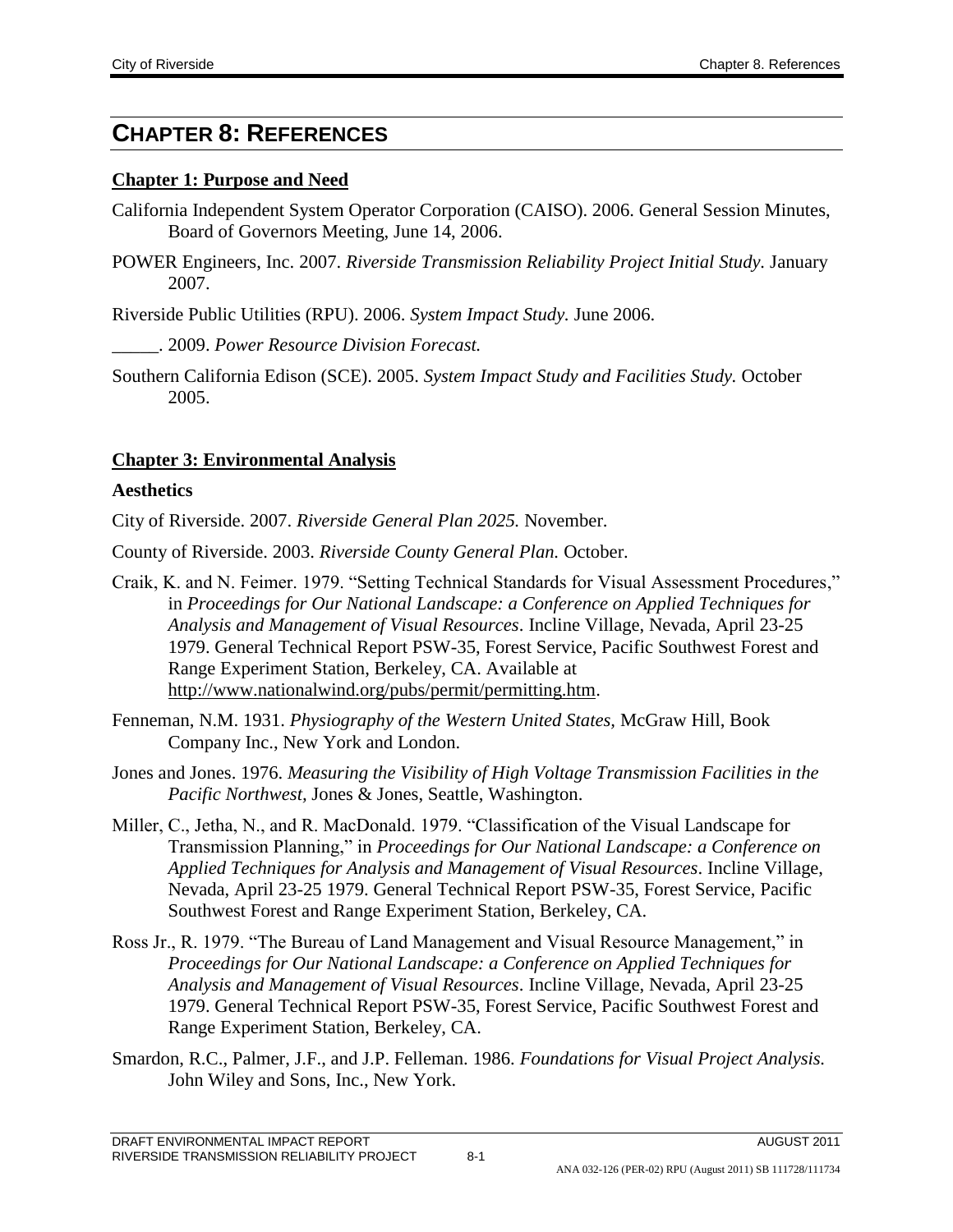# **CHAPTER 8: REFERENCES**

#### **Chapter 1: Purpose and Need**

- California Independent System Operator Corporation (CAISO). 2006. General Session Minutes, Board of Governors Meeting, June 14, 2006.
- POWER Engineers, Inc. 2007. *Riverside Transmission Reliability Project Initial Study.* January 2007.

Riverside Public Utilities (RPU). 2006. *System Impact Study.* June 2006.

- \_\_\_\_\_. 2009. *Power Resource Division Forecast.*
- Southern California Edison (SCE). 2005. *System Impact Study and Facilities Study.* October 2005.

### **Chapter 3: Environmental Analysis**

#### **Aesthetics**

City of Riverside. 2007. *Riverside General Plan 2025.* November.

County of Riverside. 2003. *Riverside County General Plan.* October.

- Craik, K. and N. Feimer. 1979. "Setting Technical Standards for Visual Assessment Procedures," in *Proceedings for Our National Landscape: a Conference on Applied Techniques for Analysis and Management of Visual Resources*. Incline Village, Nevada, April 23-25 1979. General Technical Report PSW-35, Forest Service, Pacific Southwest Forest and Range Experiment Station, Berkeley, CA. Available at [http://www.nationalwind.org/pubs/permit/permitting.htm.](http://www.nationalwind.org/pubs/permit/permitting.html)
- Fenneman, N.M. 1931. *Physiography of the Western United States,* McGraw Hill, Book Company Inc., New York and London.
- Jones and Jones. 1976. *Measuring the Visibility of High Voltage Transmission Facilities in the Pacific Northwest,* Jones & Jones, Seattle, Washington.
- Miller, C., Jetha, N., and R. MacDonald. 1979. "Classification of the Visual Landscape for Transmission Planning," in *Proceedings for Our National Landscape: a Conference on Applied Techniques for Analysis and Management of Visual Resources*. Incline Village, Nevada, April 23-25 1979. General Technical Report PSW-35, Forest Service, Pacific Southwest Forest and Range Experiment Station, Berkeley, CA.
- Ross Jr., R. 1979. "The Bureau of Land Management and Visual Resource Management," in *Proceedings for Our National Landscape: a Conference on Applied Techniques for Analysis and Management of Visual Resources*. Incline Village, Nevada, April 23-25 1979. General Technical Report PSW-35, Forest Service, Pacific Southwest Forest and Range Experiment Station, Berkeley, CA.
- Smardon, R.C., Palmer, J.F., and J.P. Felleman. 1986. *Foundations for Visual Project Analysis.*  John Wiley and Sons, Inc., New York.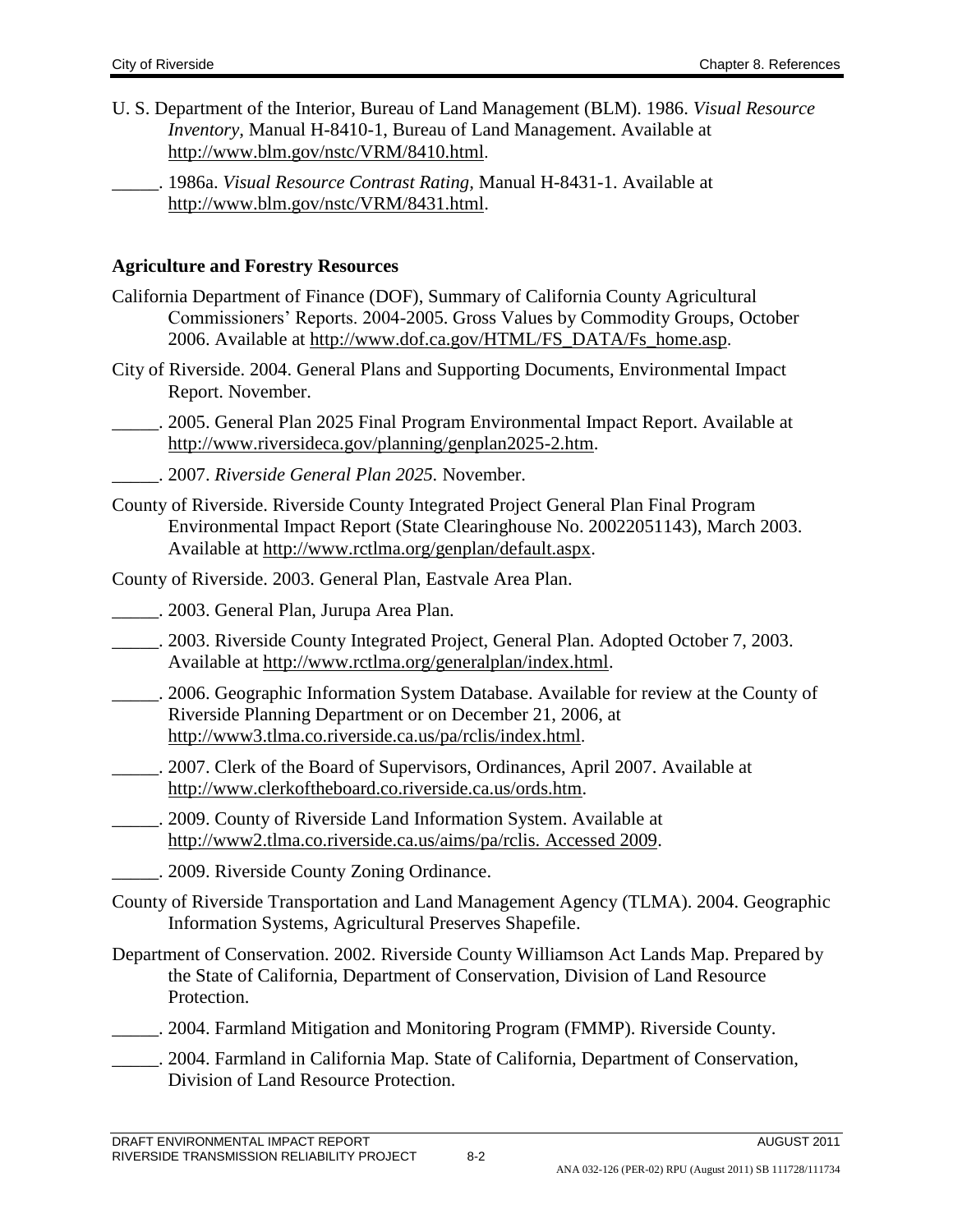- U. S. Department of the Interior, Bureau of Land Management (BLM). 1986. *Visual Resource Inventory,* Manual H-8410-1, Bureau of Land Management. Available at <http://www.blm.gov/nstc/VRM/8410.html>.
	- \_\_\_\_\_. 1986a. *Visual Resource Contrast Rating,* Manual H-8431-1. Available at [http://www.blm.gov/nstc/VRM/8431.html.](http://www.blm.gov/nstc/VRM/8431.html)

#### **Agriculture and Forestry Resources**

- California Department of Finance (DOF), Summary of California County Agricultural Commissioners' Reports. 2004-2005. Gross Values by Commodity Groups, October 2006. Available at [http://www.dof.ca.gov/HTML/FS\\_DATA/Fs\\_home.asp](http://www.dof.ca.gov/HTML/FS_DATA/Fs_home.asp).
- City of Riverside. 2004. General Plans and Supporting Documents, Environmental Impact Report. November.

\_\_\_\_\_. 2005. General Plan 2025 Final Program Environmental Impact Report. Available at [http://www.riversideca.gov/planning/genplan2025-2.htm.](http://www.riversideca.gov/planning/genplan2025-2.htm)

- \_\_\_\_\_. 2007. *Riverside General Plan 2025.* November.
- County of Riverside. Riverside County Integrated Project General Plan Final Program Environmental Impact Report (State Clearinghouse No. 20022051143), March 2003. Available at [http://www.rctlma.org/genplan/default.aspx.](http://www.rctlma.org/genplan/default.aspx)

County of Riverside. 2003. General Plan, Eastvale Area Plan.

\_\_\_\_\_. 2003. General Plan, Jurupa Area Plan.

- \_\_\_\_\_. 2003. Riverside County Integrated Project, General Plan. Adopted October 7, 2003. Available at [http://www.rctlma.org/generalplan/index.html.](http://www.rctlma.org/generalplan/index.html)
- \_\_\_\_\_. 2006. Geographic Information System Database. Available for review at the County of Riverside Planning Department or on December 21, 2006, at <http://www3.tlma.co.riverside.ca.us/pa/rclis/index.html>.
- \_\_\_\_\_. 2007. Clerk of the Board of Supervisors, Ordinances, April 2007. Available at [http://www.clerkoftheboard.co.riverside.ca.us/ords.htm.](http://www.clerkoftheboard.co.riverside.ca.us/ords.htm)
- \_\_\_\_\_. 2009. County of Riverside Land Information System. Available at [http://www2.tlma.co.riverside.ca.us/aims/pa/rclis. Accessed 2009.](http://www2.tlma.co.riverside.ca.us/aims/pa/rclis.%20Accessed%202009)
	- \_\_\_\_\_. 2009. Riverside County Zoning Ordinance.
- County of Riverside Transportation and Land Management Agency (TLMA). 2004. Geographic Information Systems, Agricultural Preserves Shapefile.
- Department of Conservation. 2002. Riverside County Williamson Act Lands Map. Prepared by the State of California, Department of Conservation, Division of Land Resource Protection.
- \_\_\_\_\_. 2004. Farmland Mitigation and Monitoring Program (FMMP). Riverside County.
- \_\_\_\_\_. 2004. Farmland in California Map. State of California, Department of Conservation, Division of Land Resource Protection.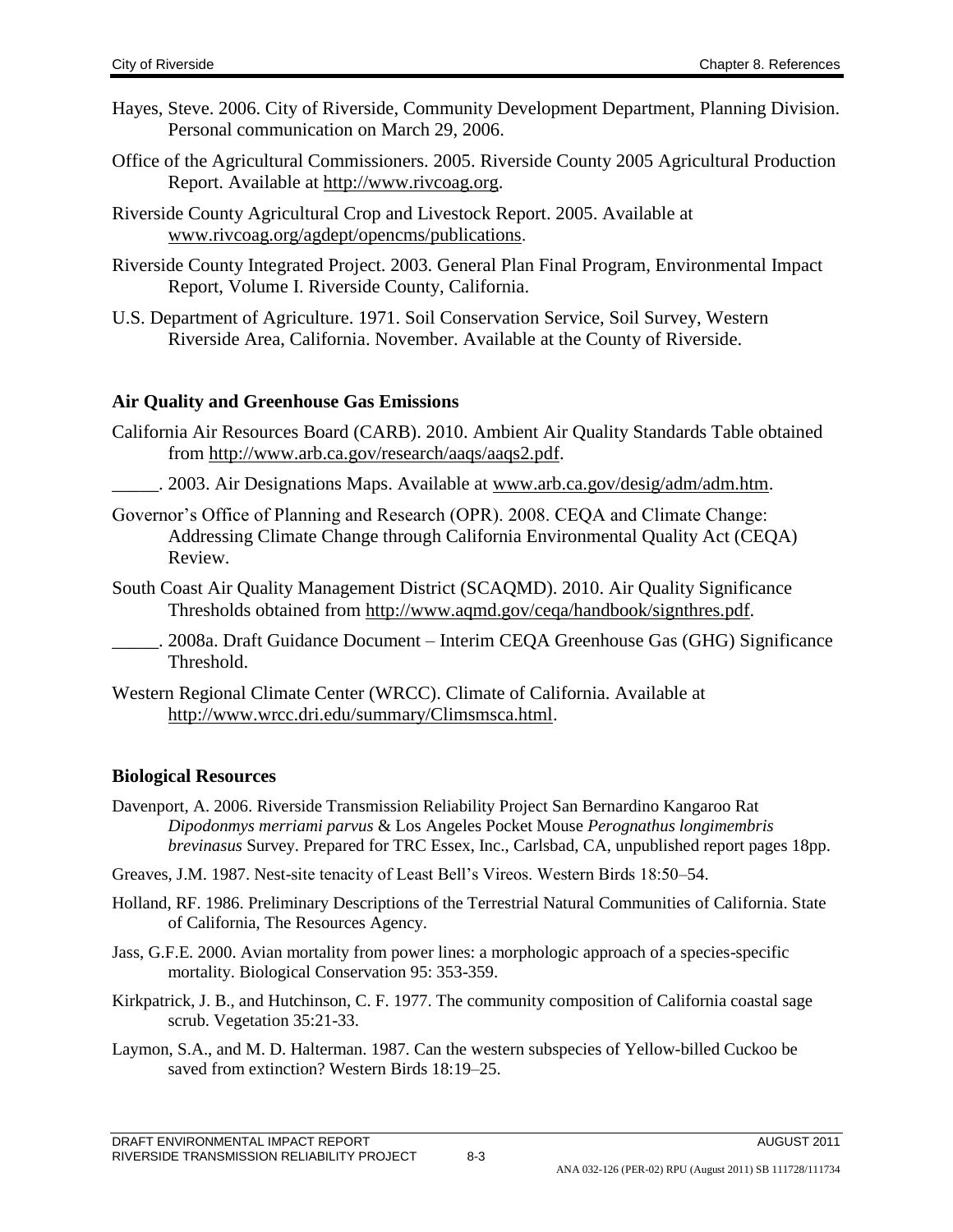- Hayes, Steve. 2006. City of Riverside, Community Development Department, Planning Division. Personal communication on March 29, 2006.
- Office of the Agricultural Commissioners. 2005. Riverside County 2005 Agricultural Production Report. Available at [http://www.rivcoag.org.](http://www.rivcoag.org/)
- Riverside County Agricultural Crop and Livestock Report. 2005. Available at [www.rivcoag.org/agdept/opencms/publications](http://www.rivcoag.org/agdept/opencms/publications).
- Riverside County Integrated Project. 2003. General Plan Final Program, Environmental Impact Report, Volume I. Riverside County, California.
- U.S. Department of Agriculture. 1971. Soil Conservation Service, Soil Survey, Western Riverside Area, California. November. Available at the County of Riverside.

#### **Air Quality and Greenhouse Gas Emissions**

- California Air Resources Board (CARB). 2010. Ambient Air Quality Standards Table obtained from [http://www.arb.ca.gov/research/aaqs/aaqs2.pdf.](http://www.arb.ca.gov/research/aaqs/aaqs2.pdf)
- \_\_\_\_\_. 2003. Air Designations Maps. Available at [www.arb.ca.gov/desig/adm/adm.htm.](../Internal%20Review/www.arb.ca.gov/desig/adm/adm.htm)
- Governor's Office of Planning and Research (OPR). 2008. CEQA and Climate Change: Addressing Climate Change through California Environmental Quality Act (CEQA) Review.
- South Coast Air Quality Management District (SCAQMD). 2010. Air Quality Significance Thresholds obtained from [http://www.aqmd.gov/ceqa/handbook/signthres.pdf.](http://www.aqmd.gov/ceqa/handbook/signthres.pdf)
- . 2008a. Draft Guidance Document Interim CEQA Greenhouse Gas (GHG) Significance Threshold.
- Western Regional Climate Center (WRCC). Climate of California. Available at [http://www.wrcc.dri.edu/summary/Climsmsca.html.](http://www.wrcc.dri.edu/summary/Climsmsca.html)

### **Biological Resources**

- Davenport, A. 2006. Riverside Transmission Reliability Project San Bernardino Kangaroo Rat *Dipodonmys merriami parvus* & Los Angeles Pocket Mouse *Perognathus longimembris brevinasus* Survey. Prepared for TRC Essex, Inc., Carlsbad, CA, unpublished report pages 18pp.
- Greaves, J.M. 1987. Nest-site tenacity of Least Bell's Vireos. Western Birds 18:50–54.
- Holland, RF. 1986. Preliminary Descriptions of the Terrestrial Natural Communities of California. State of California, The Resources Agency.
- Jass, G.F.E. 2000. Avian mortality from power lines: a morphologic approach of a species-specific mortality. Biological Conservation 95: 353-359.
- Kirkpatrick, J. B., and Hutchinson, C. F. 1977. The community composition of California coastal sage scrub. Vegetation 35:21-33.
- Laymon, S.A., and M. D. Halterman. 1987. Can the western subspecies of Yellow-billed Cuckoo be saved from extinction? Western Birds 18:19–25.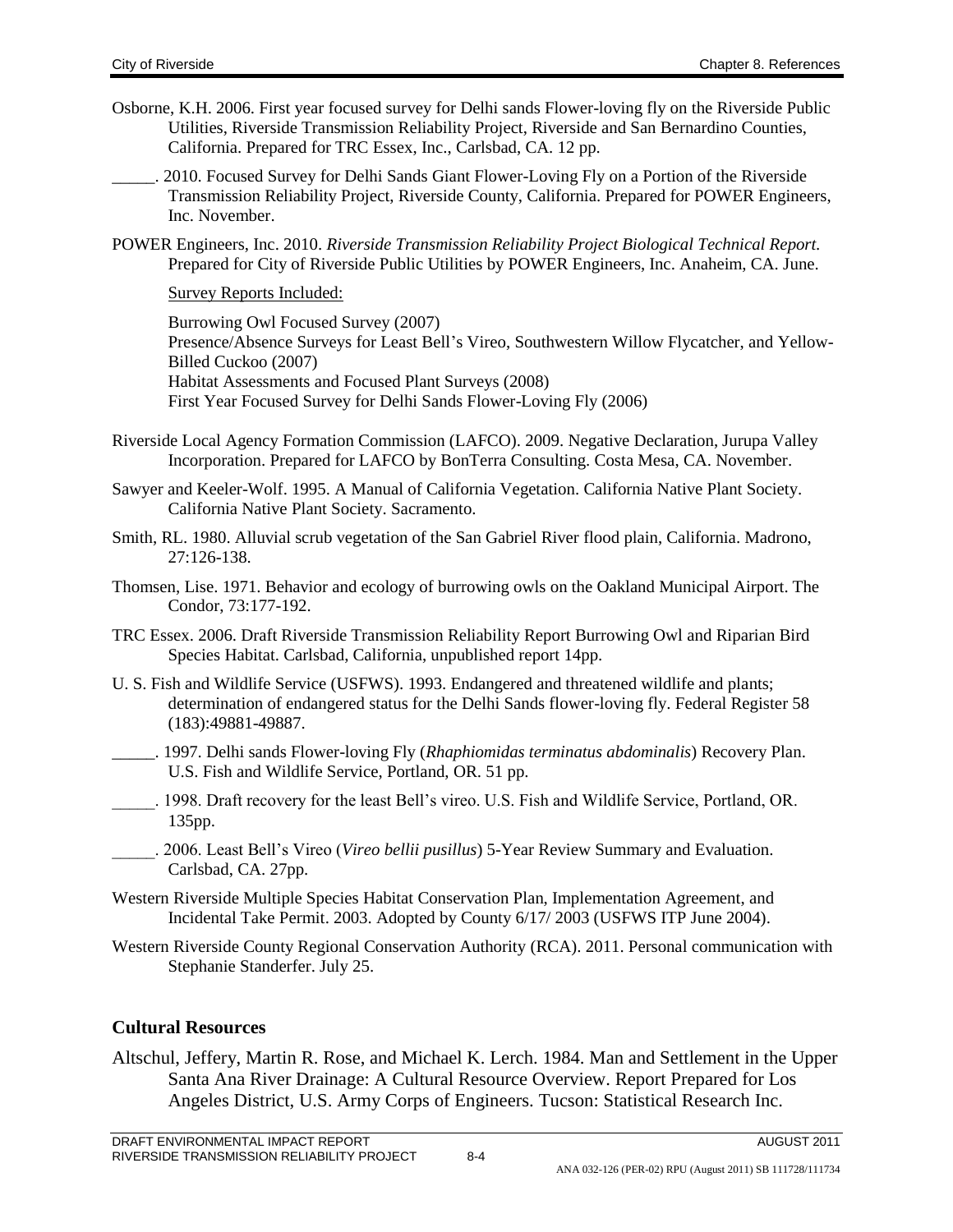- Osborne, K.H. 2006. First year focused survey for Delhi sands Flower-loving fly on the Riverside Public Utilities, Riverside Transmission Reliability Project, Riverside and San Bernardino Counties, California. Prepared for TRC Essex, Inc., Carlsbad, CA. 12 pp.
	- \_\_\_\_\_. 2010. Focused Survey for Delhi Sands Giant Flower-Loving Fly on a Portion of the Riverside Transmission Reliability Project, Riverside County, California. Prepared for POWER Engineers, Inc. November.
- POWER Engineers, Inc. 2010. *Riverside Transmission Reliability Project Biological Technical Report.* Prepared for City of Riverside Public Utilities by POWER Engineers, Inc. Anaheim, CA. June.

Survey Reports Included:

Burrowing Owl Focused Survey (2007) Presence/Absence Surveys for Least Bell's Vireo, Southwestern Willow Flycatcher, and Yellow-Billed Cuckoo (2007) Habitat Assessments and Focused Plant Surveys (2008) First Year Focused Survey for Delhi Sands Flower-Loving Fly (2006)

- Riverside Local Agency Formation Commission (LAFCO). 2009. Negative Declaration, Jurupa Valley Incorporation. Prepared for LAFCO by BonTerra Consulting. Costa Mesa, CA. November.
- Sawyer and Keeler-Wolf. 1995. A Manual of California Vegetation. California Native Plant Society. California Native Plant Society. Sacramento.
- Smith, RL. 1980. Alluvial scrub vegetation of the San Gabriel River flood plain, California. Madrono, 27:126-138.
- Thomsen, Lise. 1971. Behavior and ecology of burrowing owls on the Oakland Municipal Airport. The Condor, 73:177-192.
- TRC Essex. 2006. Draft Riverside Transmission Reliability Report Burrowing Owl and Riparian Bird Species Habitat. Carlsbad, California, unpublished report 14pp.
- U. S. Fish and Wildlife Service (USFWS). 1993. Endangered and threatened wildlife and plants; determination of endangered status for the Delhi Sands flower-loving fly. Federal Register 58 (183):49881-49887.
- \_\_\_\_\_. 1997. Delhi sands Flower-loving Fly (*Rhaphiomidas terminatus abdominalis*) Recovery Plan. U.S. Fish and Wildlife Service, Portland, OR. 51 pp.
- \_\_\_\_\_. 1998. Draft recovery for the least Bell's vireo. U.S. Fish and Wildlife Service, Portland, OR. 135pp.
- \_\_\_\_\_. 2006. Least Bell's Vireo (*Vireo bellii pusillus*) 5-Year Review Summary and Evaluation. Carlsbad, CA. 27pp.
- Western Riverside Multiple Species Habitat Conservation Plan, Implementation Agreement, and Incidental Take Permit. 2003. Adopted by County 6/17/ 2003 (USFWS ITP June 2004).
- Western Riverside County Regional Conservation Authority (RCA). 2011. Personal communication with Stephanie Standerfer. July 25.

### **Cultural Resources**

Altschul, Jeffery, Martin R. Rose, and Michael K. Lerch. 1984. Man and Settlement in the Upper Santa Ana River Drainage: A Cultural Resource Overview. Report Prepared for Los Angeles District, U.S. Army Corps of Engineers. Tucson: Statistical Research Inc.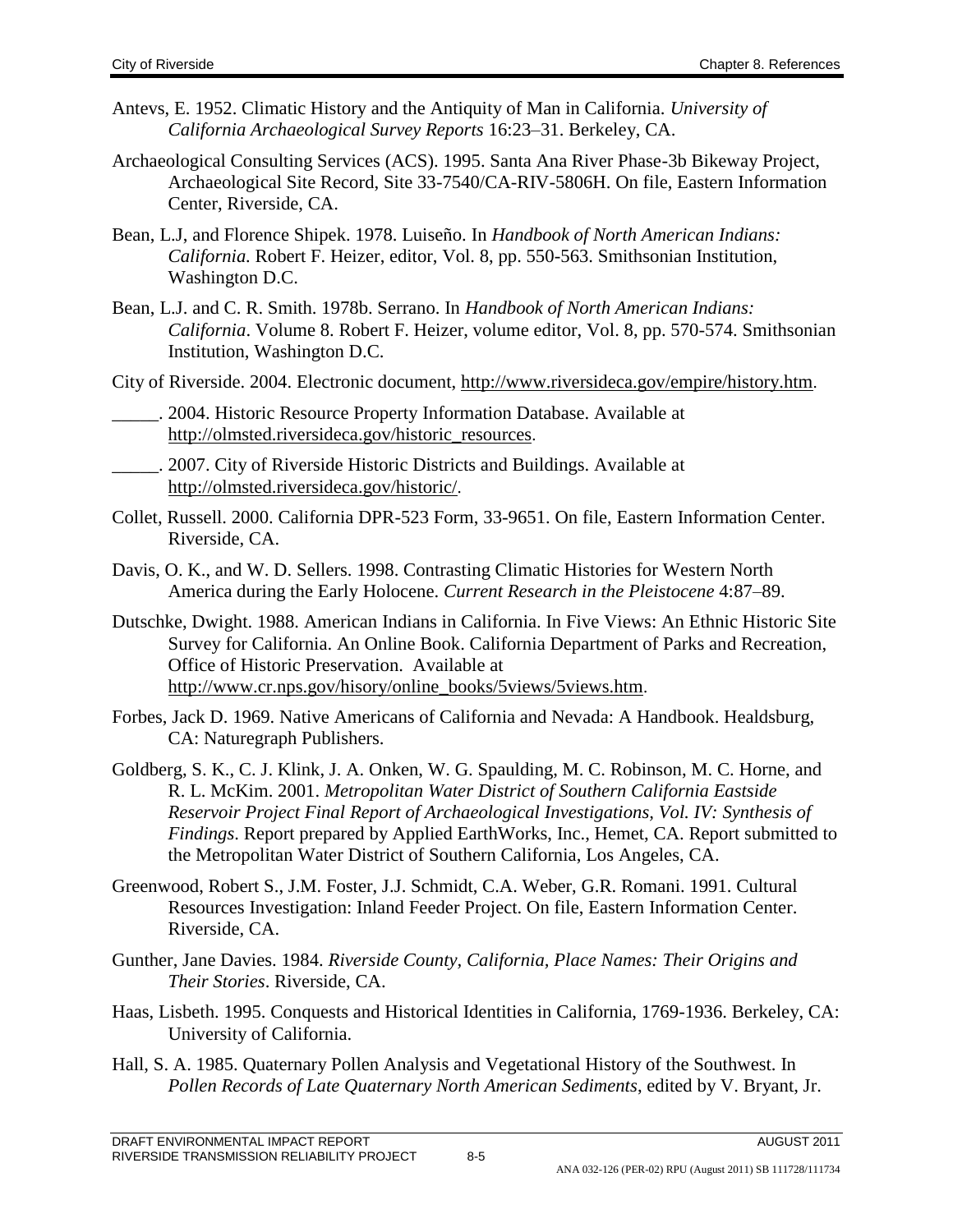- Antevs, E. 1952. Climatic History and the Antiquity of Man in California. *University of California Archaeological Survey Reports* 16:23–31. Berkeley, CA.
- Archaeological Consulting Services (ACS). 1995. Santa Ana River Phase-3b Bikeway Project, Archaeological Site Record, Site 33-7540/CA-RIV-5806H. On file, Eastern Information Center, Riverside, CA.
- Bean, L.J, and Florence Shipek. 1978. Luiseño. In *Handbook of North American Indians: California.* Robert F. Heizer, editor, Vol. 8, pp. 550-563. Smithsonian Institution, Washington D.C.
- Bean, L.J. and C. R. Smith. 1978b. Serrano. In *Handbook of North American Indians: California*. Volume 8. Robert F. Heizer, volume editor, Vol. 8, pp. 570-574. Smithsonian Institution, Washington D.C.
- City of Riverside. 2004. Electronic document, [http://www.riversideca.gov/empire/history.htm](http://www.riversideca.gov/empire/history.html).
- \_\_\_\_\_. 2004. Historic Resource Property Information Database. Available at [http://olmsted.riversideca.gov/historic\\_resources](http://olmsted.riversideca.gov/historic_resources).
- \_\_\_\_\_. 2007. City of Riverside Historic Districts and Buildings. Available at <http://olmsted.riversideca.gov/historic/>.
- Collet, Russell. 2000. California DPR-523 Form, 33-9651. On file, Eastern Information Center. Riverside, CA.
- Davis, O. K., and W. D. Sellers. 1998. Contrasting Climatic Histories for Western North America during the Early Holocene. *Current Research in the Pleistocene* 4:87–89.
- Dutschke, Dwight. 1988. American Indians in California. In Five Views: An Ethnic Historic Site Survey for California. An Online Book. California Department of Parks and Recreation, Office of Historic Preservation. Available at [http://www.cr.nps.gov/hisory/online\\_books/5views/5views.htm](http://www.cr.nps.gov/hisory/online_books/5views/5views.htm).
- Forbes, Jack D. 1969. Native Americans of California and Nevada: A Handbook. Healdsburg, CA: Naturegraph Publishers.
- Goldberg, S. K., C. J. Klink, J. A. Onken, W. G. Spaulding, M. C. Robinson, M. C. Horne, and R. L. McKim. 2001. *Metropolitan Water District of Southern California Eastside Reservoir Project Final Report of Archaeological Investigations, Vol. IV: Synthesis of Findings*. Report prepared by Applied EarthWorks, Inc., Hemet, CA. Report submitted to the Metropolitan Water District of Southern California, Los Angeles, CA.
- Greenwood, Robert S., J.M. Foster, J.J. Schmidt, C.A. Weber, G.R. Romani. 1991. Cultural Resources Investigation: Inland Feeder Project. On file, Eastern Information Center. Riverside, CA.
- Gunther, Jane Davies. 1984. *Riverside County, California, Place Names: Their Origins and Their Stories*. Riverside, CA.
- Haas, Lisbeth. 1995. Conquests and Historical Identities in California, 1769-1936. Berkeley, CA: University of California.
- Hall, S. A. 1985. Quaternary Pollen Analysis and Vegetational History of the Southwest. In *Pollen Records of Late Quaternary North American Sediments*, edited by V. Bryant, Jr.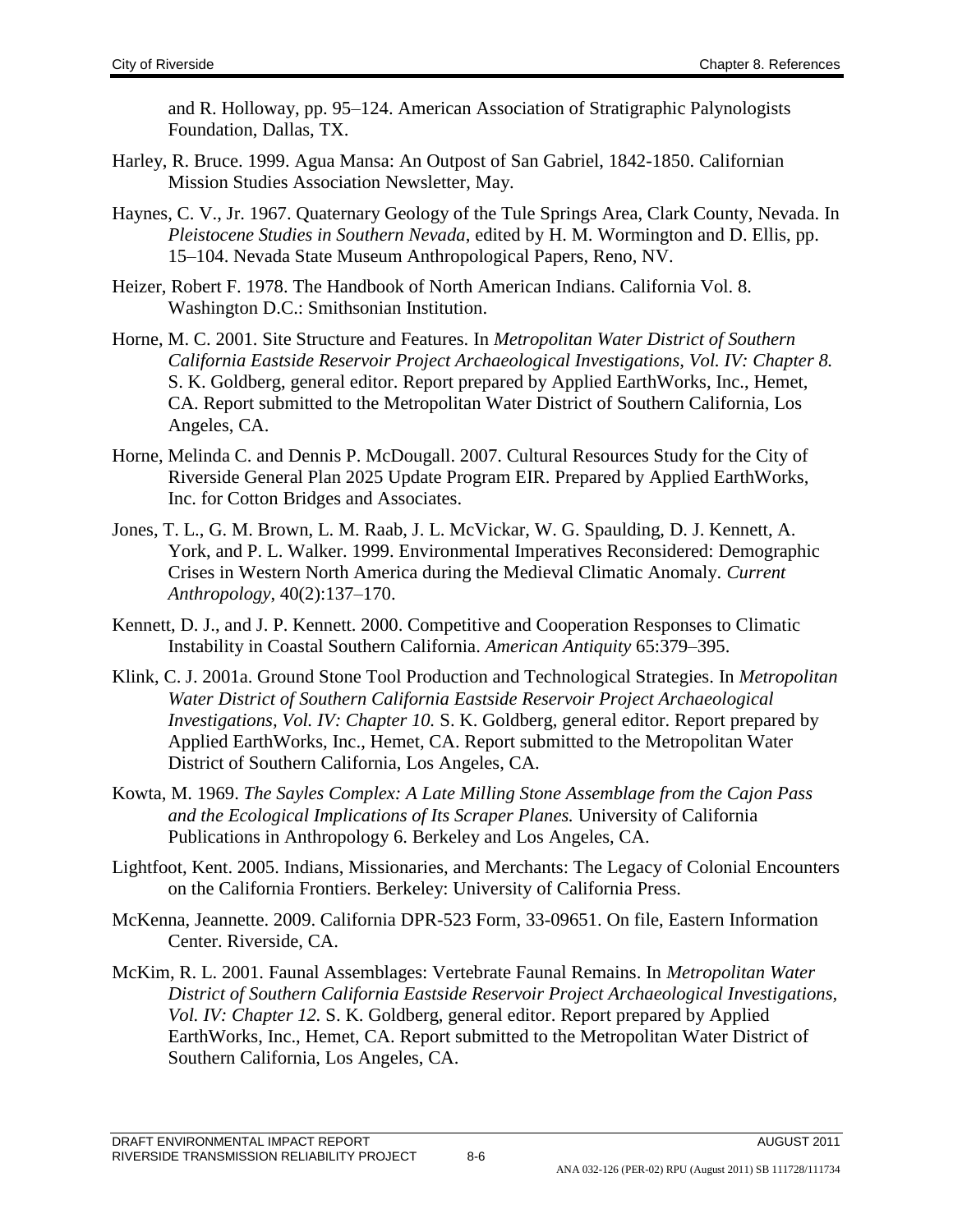and R. Holloway, pp. 95–124. American Association of Stratigraphic Palynologists Foundation, Dallas, TX.

- Harley, R. Bruce. 1999. Agua Mansa: An Outpost of San Gabriel, 1842-1850. Californian Mission Studies Association Newsletter, May.
- Haynes, C. V., Jr. 1967. Quaternary Geology of the Tule Springs Area, Clark County, Nevada. In *Pleistocene Studies in Southern Nevada*, edited by H. M. Wormington and D. Ellis, pp. 15–104. Nevada State Museum Anthropological Papers, Reno, NV.
- Heizer, Robert F. 1978. The Handbook of North American Indians. California Vol. 8. Washington D.C.: Smithsonian Institution.
- Horne, M. C. 2001. Site Structure and Features. In *Metropolitan Water District of Southern California Eastside Reservoir Project Archaeological Investigations, Vol. IV: Chapter 8.*  S. K. Goldberg, general editor. Report prepared by Applied EarthWorks, Inc., Hemet, CA. Report submitted to the Metropolitan Water District of Southern California, Los Angeles, CA.
- Horne, Melinda C. and Dennis P. McDougall. 2007. Cultural Resources Study for the City of Riverside General Plan 2025 Update Program EIR. Prepared by Applied EarthWorks, Inc. for Cotton Bridges and Associates.
- Jones, T. L., G. M. Brown, L. M. Raab, J. L. McVickar, W. G. Spaulding, D. J. Kennett, A. York, and P. L. Walker. 1999. Environmental Imperatives Reconsidered: Demographic Crises in Western North America during the Medieval Climatic Anomaly. *Current Anthropology*, 40(2):137–170.
- Kennett, D. J., and J. P. Kennett. 2000. Competitive and Cooperation Responses to Climatic Instability in Coastal Southern California. *American Antiquity* 65:379–395.
- Klink, C. J. 2001a. Ground Stone Tool Production and Technological Strategies. In *Metropolitan Water District of Southern California Eastside Reservoir Project Archaeological Investigations, Vol. IV: Chapter 10. S. K. Goldberg, general editor. Report prepared by* Applied EarthWorks, Inc., Hemet, CA. Report submitted to the Metropolitan Water District of Southern California, Los Angeles, CA.
- Kowta, M. 1969. *The Sayles Complex: A Late Milling Stone Assemblage from the Cajon Pass and the Ecological Implications of Its Scraper Planes.* University of California Publications in Anthropology 6. Berkeley and Los Angeles, CA.
- Lightfoot, Kent. 2005. Indians, Missionaries, and Merchants: The Legacy of Colonial Encounters on the California Frontiers. Berkeley: University of California Press.
- McKenna, Jeannette. 2009. California DPR-523 Form, 33-09651. On file, Eastern Information Center. Riverside, CA.
- McKim, R. L. 2001. Faunal Assemblages: Vertebrate Faunal Remains. In *Metropolitan Water District of Southern California Eastside Reservoir Project Archaeological Investigations, Vol. IV: Chapter 12.* S. K. Goldberg, general editor. Report prepared by Applied EarthWorks, Inc., Hemet, CA. Report submitted to the Metropolitan Water District of Southern California, Los Angeles, CA.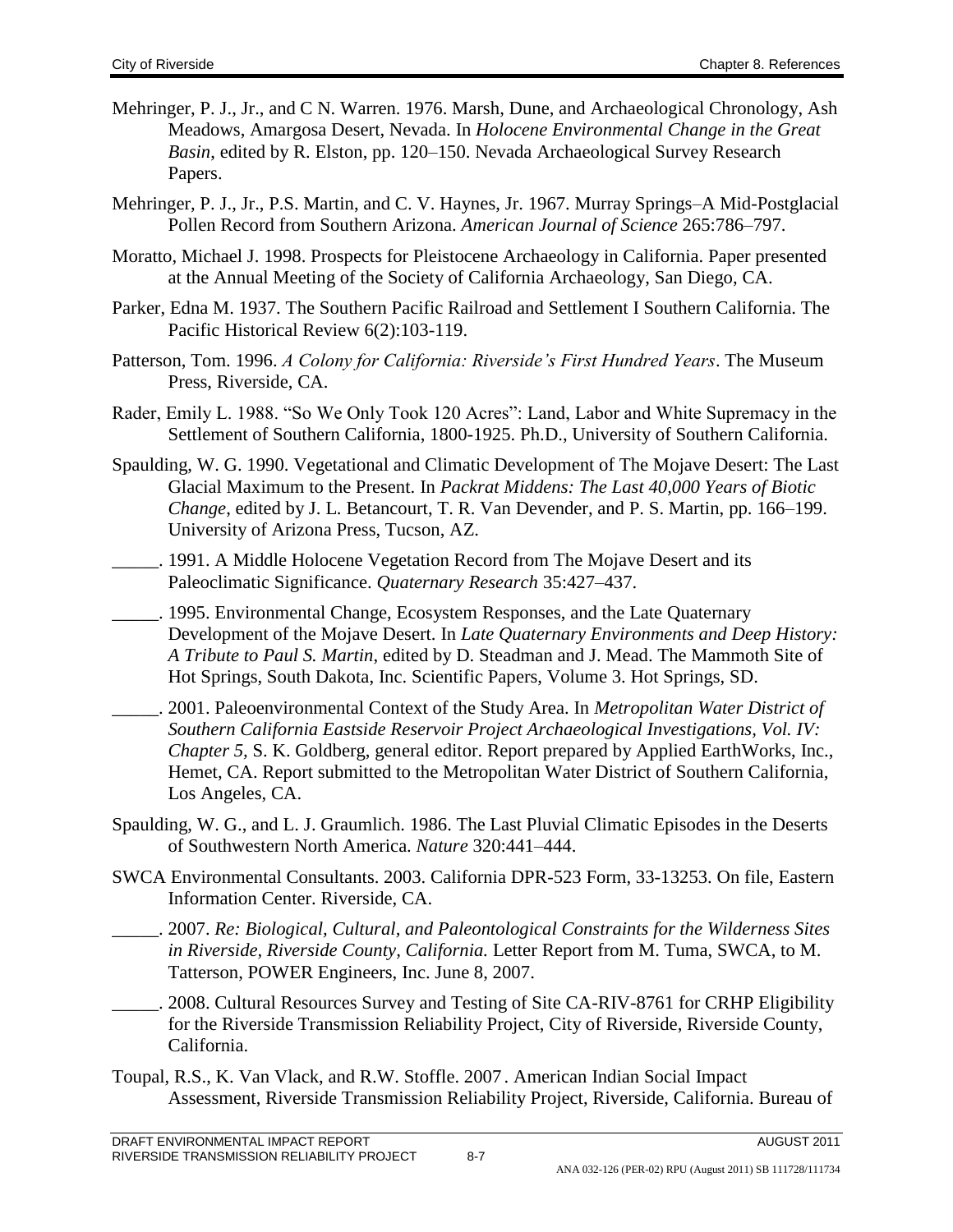- Mehringer, P. J., Jr., and C N. Warren. 1976. Marsh, Dune, and Archaeological Chronology, Ash Meadows, Amargosa Desert, Nevada. In *Holocene Environmental Change in the Great Basin*, edited by R. Elston, pp. 120–150. Nevada Archaeological Survey Research Papers.
- Mehringer, P. J., Jr., P.S. Martin, and C. V. Haynes, Jr. 1967. Murray Springs–A Mid-Postglacial Pollen Record from Southern Arizona. *American Journal of Science* 265:786–797.
- Moratto, Michael J. 1998. Prospects for Pleistocene Archaeology in California. Paper presented at the Annual Meeting of the Society of California Archaeology, San Diego, CA.
- Parker, Edna M. 1937. The Southern Pacific Railroad and Settlement I Southern California. The Pacific Historical Review 6(2):103-119.
- Patterson, Tom. 1996. *A Colony for California: Riverside's First Hundred Years*. The Museum Press, Riverside, CA.
- Rader, Emily L. 1988. "So We Only Took 120 Acres": Land, Labor and White Supremacy in the Settlement of Southern California, 1800-1925. Ph.D., University of Southern California.
- Spaulding, W. G. 1990. Vegetational and Climatic Development of The Mojave Desert: The Last Glacial Maximum to the Present. In *Packrat Middens: The Last 40,000 Years of Biotic Change*, edited by J. L. Betancourt, T. R. Van Devender, and P. S. Martin, pp. 166–199. University of Arizona Press, Tucson, AZ.
- \_\_\_\_\_. 1991. A Middle Holocene Vegetation Record from The Mojave Desert and its Paleoclimatic Significance. *Quaternary Research* 35:427–437.
- \_\_\_\_\_. 1995. Environmental Change, Ecosystem Responses, and the Late Quaternary Development of the Mojave Desert. In *Late Quaternary Environments and Deep History: A Tribute to Paul S. Martin*, edited by D. Steadman and J. Mead. The Mammoth Site of Hot Springs, South Dakota, Inc. Scientific Papers, Volume 3. Hot Springs, SD.
- \_\_\_\_\_. 2001. Paleoenvironmental Context of the Study Area. In *Metropolitan Water District of Southern California Eastside Reservoir Project Archaeological Investigations, Vol. IV: Chapter 5,* S. K. Goldberg, general editor. Report prepared by Applied EarthWorks, Inc., Hemet, CA. Report submitted to the Metropolitan Water District of Southern California, Los Angeles, CA.
- Spaulding, W. G., and L. J. Graumlich. 1986. The Last Pluvial Climatic Episodes in the Deserts of Southwestern North America. *Nature* 320:441–444.
- SWCA Environmental Consultants. 2003. California DPR-523 Form, 33-13253. On file, Eastern Information Center. Riverside, CA.
	- \_\_\_\_\_. 2007. *Re: Biological, Cultural, and Paleontological Constraints for the Wilderness Sites in Riverside, Riverside County, California.* Letter Report from M. Tuma, SWCA, to M. Tatterson, POWER Engineers, Inc. June 8, 2007.
- 2008. Cultural Resources Survey and Testing of Site CA-RIV-8761 for CRHP Eligibility for the Riverside Transmission Reliability Project, City of Riverside, Riverside County, California.
- Toupal, R.S., K. Van Vlack, and R.W. Stoffle. 2007 . American Indian Social Impact Assessment, Riverside Transmission Reliability Project, Riverside, California. Bureau of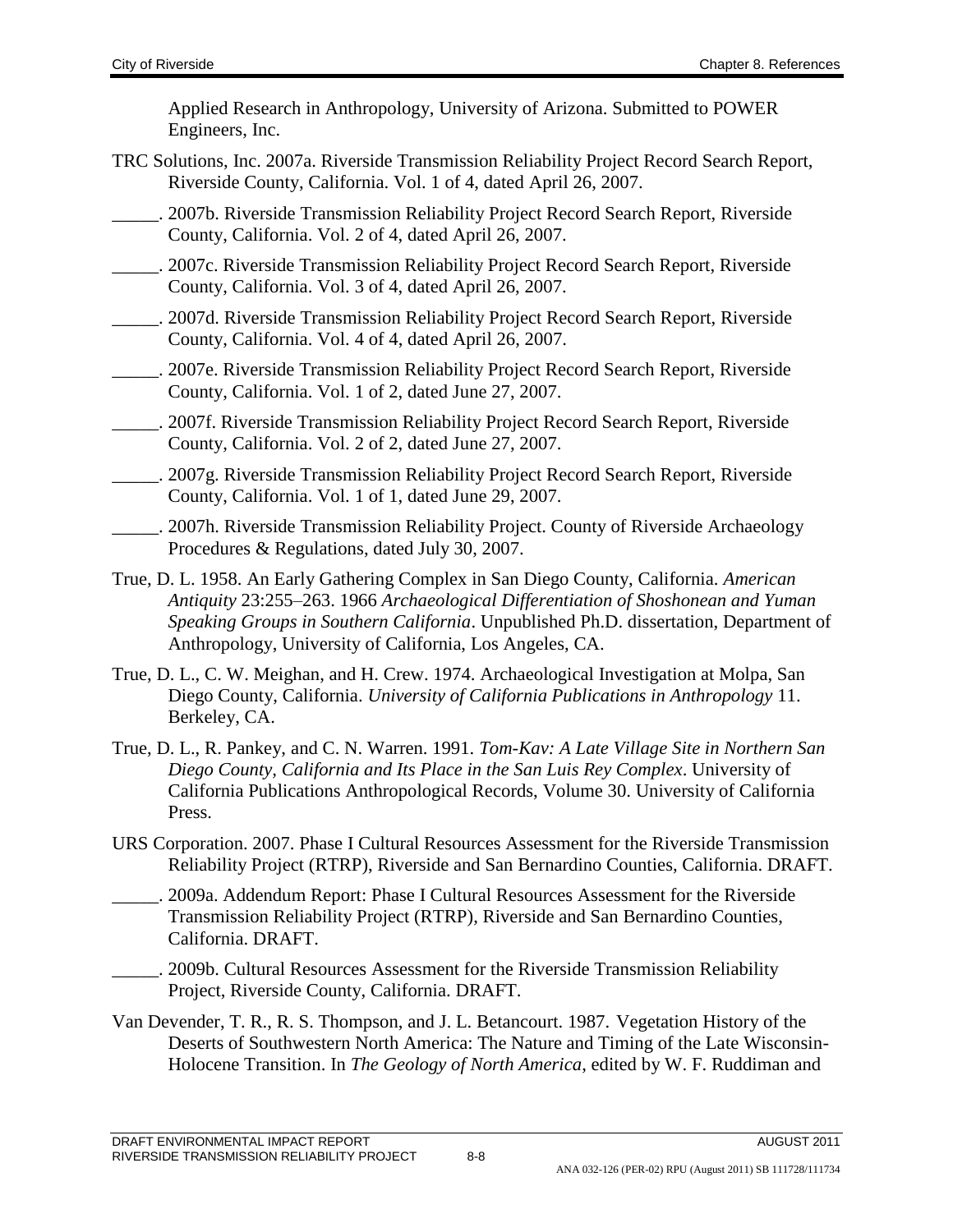Applied Research in Anthropology, University of Arizona. Submitted to POWER Engineers, Inc.

- TRC Solutions, Inc. 2007a. Riverside Transmission Reliability Project Record Search Report, Riverside County, California. Vol. 1 of 4, dated April 26, 2007.
- \_\_\_\_\_. 2007b. Riverside Transmission Reliability Project Record Search Report, Riverside County, California. Vol. 2 of 4, dated April 26, 2007.
- \_\_\_\_\_. 2007c. Riverside Transmission Reliability Project Record Search Report, Riverside County, California. Vol. 3 of 4, dated April 26, 2007.
- \_\_\_\_\_. 2007d. Riverside Transmission Reliability Project Record Search Report, Riverside County, California. Vol. 4 of 4, dated April 26, 2007.
- \_\_\_\_\_. 2007e. Riverside Transmission Reliability Project Record Search Report, Riverside County, California. Vol. 1 of 2, dated June 27, 2007.
- \_\_\_\_\_. 2007f. Riverside Transmission Reliability Project Record Search Report, Riverside County, California. Vol. 2 of 2, dated June 27, 2007.
- \_\_\_\_\_. 2007g. Riverside Transmission Reliability Project Record Search Report, Riverside County, California. Vol. 1 of 1, dated June 29, 2007.
- \_\_\_\_\_. 2007h. Riverside Transmission Reliability Project. County of Riverside Archaeology Procedures & Regulations, dated July 30, 2007.
- True, D. L. 1958. An Early Gathering Complex in San Diego County, California. *American Antiquity* 23:255–263. 1966 *Archaeological Differentiation of Shoshonean and Yuman Speaking Groups in Southern California*. Unpublished Ph.D. dissertation, Department of Anthropology, University of California, Los Angeles, CA.
- True, D. L., C. W. Meighan, and H. Crew. 1974. Archaeological Investigation at Molpa, San Diego County, California. *University of California Publications in Anthropology* 11. Berkeley, CA.
- True, D. L., R. Pankey, and C. N. Warren. 1991. *Tom-Kav: A Late Village Site in Northern San Diego County, California and Its Place in the San Luis Rey Complex*. University of California Publications Anthropological Records, Volume 30. University of California Press.
- URS Corporation. 2007. Phase I Cultural Resources Assessment for the Riverside Transmission Reliability Project (RTRP), Riverside and San Bernardino Counties, California. DRAFT.
- . 2009a. Addendum Report: Phase I Cultural Resources Assessment for the Riverside Transmission Reliability Project (RTRP), Riverside and San Bernardino Counties, California. DRAFT.
	- . 2009b. Cultural Resources Assessment for the Riverside Transmission Reliability Project, Riverside County, California. DRAFT.
- Van Devender, T. R., R. S. Thompson, and J. L. Betancourt. 1987. Vegetation History of the Deserts of Southwestern North America: The Nature and Timing of the Late Wisconsin-Holocene Transition. In *The Geology of North America*, edited by W. F. Ruddiman and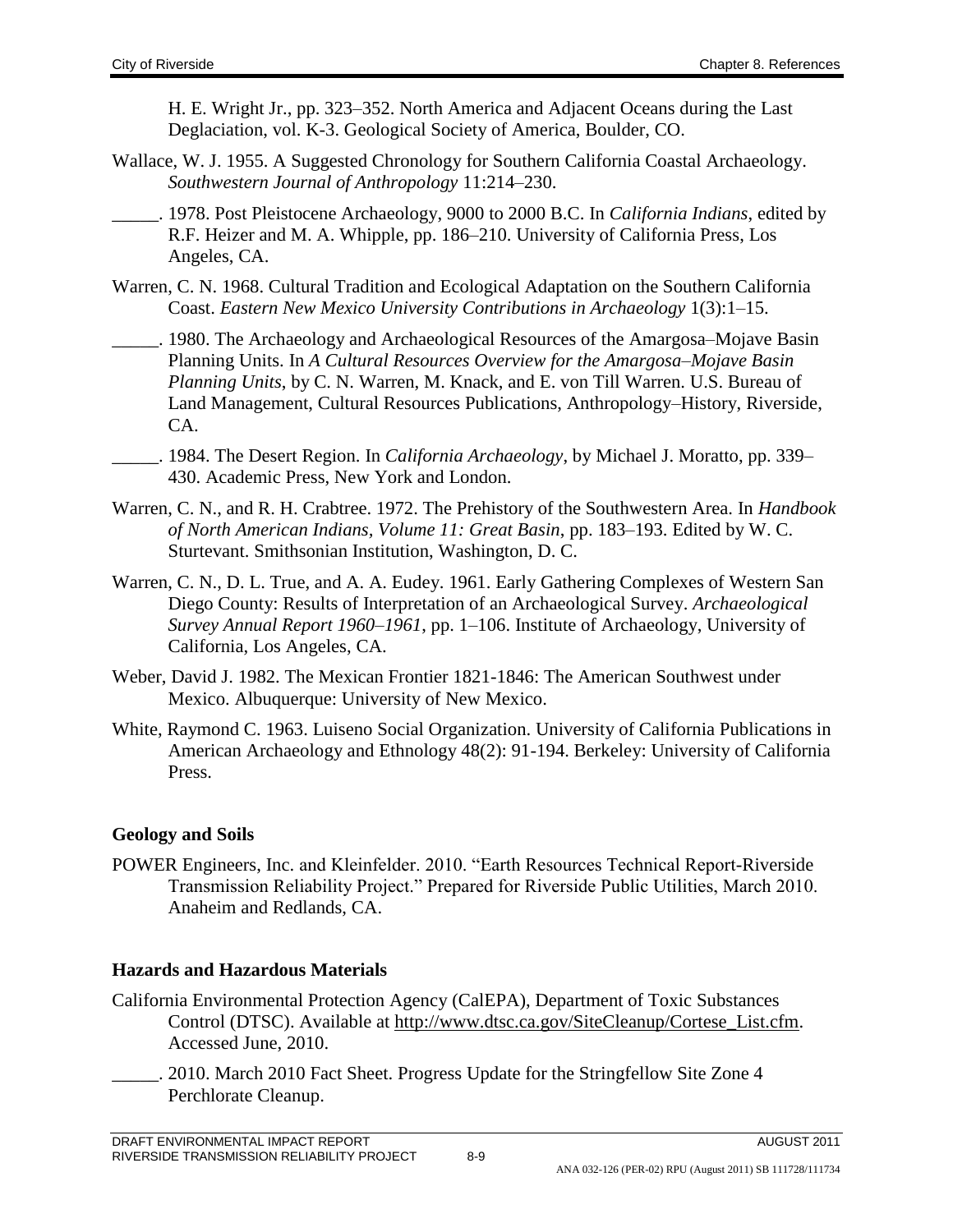H. E. Wright Jr., pp. 323–352. North America and Adjacent Oceans during the Last Deglaciation, vol. K-3. Geological Society of America, Boulder, CO.

- Wallace, W. J. 1955. A Suggested Chronology for Southern California Coastal Archaeology. *Southwestern Journal of Anthropology* 11:214–230.
- \_\_\_\_\_. 1978. Post Pleistocene Archaeology, 9000 to 2000 B.C. In *California Indians*, edited by R.F. Heizer and M. A. Whipple, pp. 186–210. University of California Press, Los Angeles, CA.
- Warren, C. N. 1968. Cultural Tradition and Ecological Adaptation on the Southern California Coast. *Eastern New Mexico University Contributions in Archaeology* 1(3):1–15.
- . 1980. The Archaeology and Archaeological Resources of the Amargosa–Mojave Basin Planning Units. In *A Cultural Resources Overview for the Amargosa–Mojave Basin Planning Units*, by C. N. Warren, M. Knack, and E. von Till Warren. U.S. Bureau of Land Management, Cultural Resources Publications, Anthropology–History, Riverside, CA.
- \_\_\_\_\_. 1984. The Desert Region. In *California Archaeology*, by Michael J. Moratto, pp. 339– 430. Academic Press, New York and London.
- Warren, C. N., and R. H. Crabtree. 1972. The Prehistory of the Southwestern Area. In *Handbook of North American Indians, Volume 11: Great Basin*, pp. 183–193. Edited by W. C. Sturtevant. Smithsonian Institution, Washington, D. C.
- Warren, C. N., D. L. True, and A. A. Eudey. 1961. Early Gathering Complexes of Western San Diego County: Results of Interpretation of an Archaeological Survey. *Archaeological Survey Annual Report 1960–1961*, pp. 1–106. Institute of Archaeology, University of California, Los Angeles, CA.
- Weber, David J. 1982. The Mexican Frontier 1821-1846: The American Southwest under Mexico. Albuquerque: University of New Mexico.
- White, Raymond C. 1963. Luiseno Social Organization. University of California Publications in American Archaeology and Ethnology 48(2): 91-194. Berkeley: University of California Press.

### **Geology and Soils**

POWER Engineers, Inc. and Kleinfelder. 2010. "Earth Resources Technical Report-Riverside Transmission Reliability Project." Prepared for Riverside Public Utilities, March 2010. Anaheim and Redlands, CA.

### **Hazards and Hazardous Materials**

- California Environmental Protection Agency (CalEPA), Department of Toxic Substances Control (DTSC). Available at [http://www.dtsc.ca.gov/SiteCleanup/Cortese\\_List.cfm.](http://www.dtsc.ca.gov/SiteCleanup/Cortese_List.cfm) Accessed June, 2010.
	- 2010. March 2010 Fact Sheet. Progress Update for the Stringfellow Site Zone 4 Perchlorate Cleanup.

ANA 032-126 (PER-02) RPU (August 2011) SB 111728/111734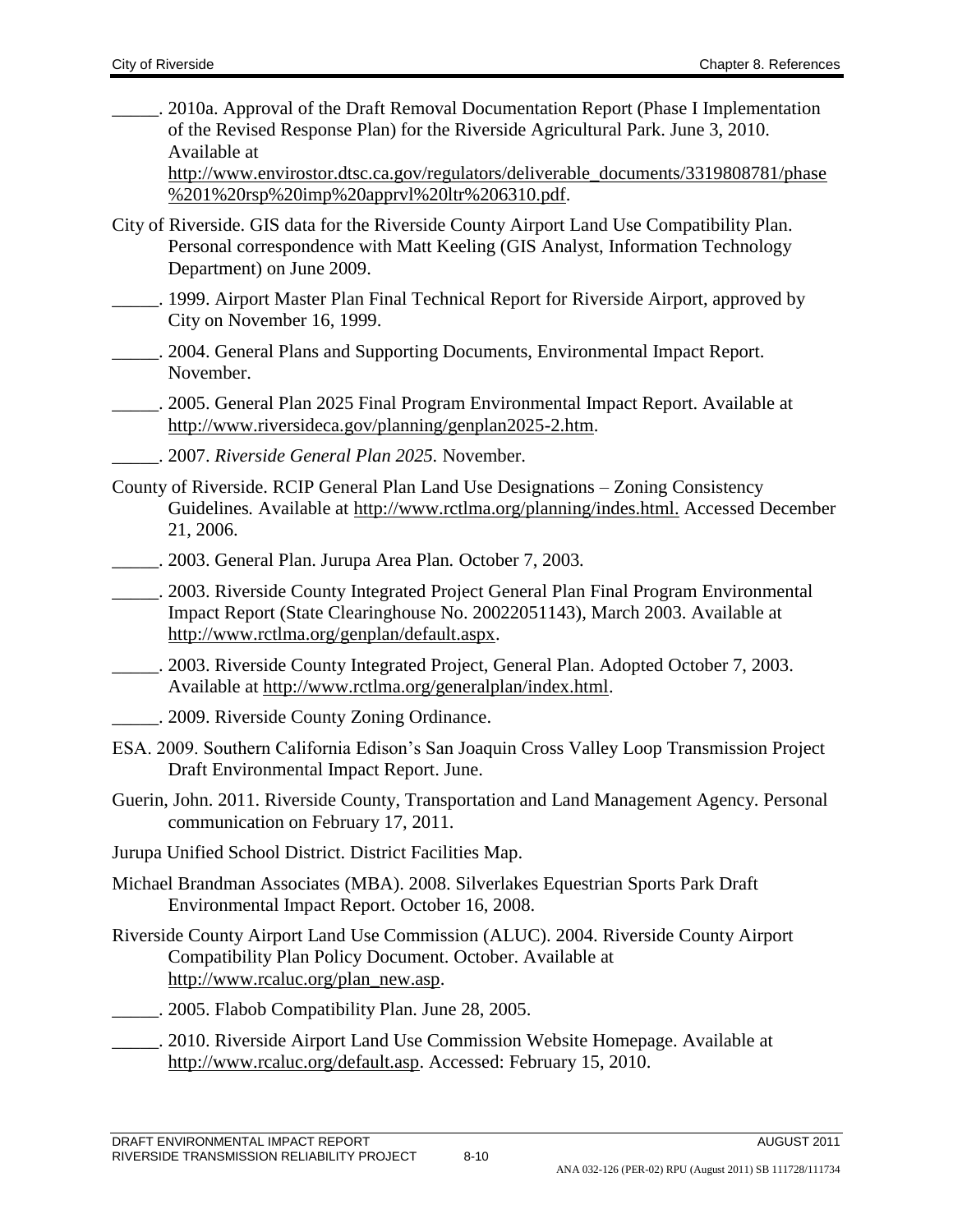\_\_\_\_\_. 2010a. Approval of the Draft Removal Documentation Report (Phase I Implementation of the Revised Response Plan) for the Riverside Agricultural Park. June 3, 2010. Available at

[http://www.envirostor.dtsc.ca.gov/regulators/deliverable\\_documents/3319808781/phase](http://www.envirostor.dtsc.ca.gov/regulators/deliverable_documents/3319808781/phase%201%20rsp%20imp%20apprvl%20ltr%206310.pdf) [%201%20rsp%20imp%20apprvl%20ltr%206310.pdf.](http://www.envirostor.dtsc.ca.gov/regulators/deliverable_documents/3319808781/phase%201%20rsp%20imp%20apprvl%20ltr%206310.pdf)

- City of Riverside. GIS data for the Riverside County Airport Land Use Compatibility Plan. Personal correspondence with Matt Keeling (GIS Analyst, Information Technology Department) on June 2009.
- \_\_\_\_\_. 1999. Airport Master Plan Final Technical Report for Riverside Airport, approved by City on November 16, 1999.
- \_\_\_\_\_. 2004. General Plans and Supporting Documents, Environmental Impact Report. November.
	- \_\_\_\_\_. 2005. General Plan 2025 Final Program Environmental Impact Report. Available at [http://www.riversideca.gov/planning/genplan2025-2.htm.](http://www.riversideca.gov/planning/genplan2025-2.htm)
- \_\_\_\_\_. 2007. *Riverside General Plan 2025.* November.
- County of Riverside. RCIP General Plan Land Use Designations Zoning Consistency Guidelines*.* Available at<http://www.rctlma.org/planning/indes.html.> Accessed December 21, 2006.
- \_\_\_\_\_. 2003. General Plan. Jurupa Area Plan*.* October 7, 2003*.*
- \_\_\_\_\_. 2003. Riverside County Integrated Project General Plan Final Program Environmental Impact Report (State Clearinghouse No. 20022051143), March 2003. Available at [http://www.rctlma.org/genplan/default.aspx.](http://www.rctlma.org/genplan/default.aspx)
- \_\_\_\_\_. 2003. Riverside County Integrated Project, General Plan. Adopted October 7, 2003. Available at [http://www.rctlma.org/generalplan/index.html.](http://www.rctlma.org/generalplan/index.html)
- \_\_\_\_\_. 2009. Riverside County Zoning Ordinance.
- ESA. 2009. Southern California Edison's San Joaquin Cross Valley Loop Transmission Project Draft Environmental Impact Report. June.
- Guerin, John. 2011. Riverside County, Transportation and Land Management Agency. Personal communication on February 17, 2011.
- Jurupa Unified School District. District Facilities Map.
- Michael Brandman Associates (MBA). 2008. Silverlakes Equestrian Sports Park Draft Environmental Impact Report. October 16, 2008.
- Riverside County Airport Land Use Commission (ALUC). 2004. Riverside County Airport Compatibility Plan Policy Document. October. Available at [http://www.rcaluc.org/plan\\_new.asp.](http://www.rcaluc.org/plan_new.asp)
- \_\_\_\_\_. 2005. Flabob Compatibility Plan. June 28, 2005.
- \_\_\_\_\_. 2010. Riverside Airport Land Use Commission Website Homepage. Available at [http://www.rcaluc.org/default.asp.](http://www.rcaluc.org/default.asp) Accessed: February 15, 2010.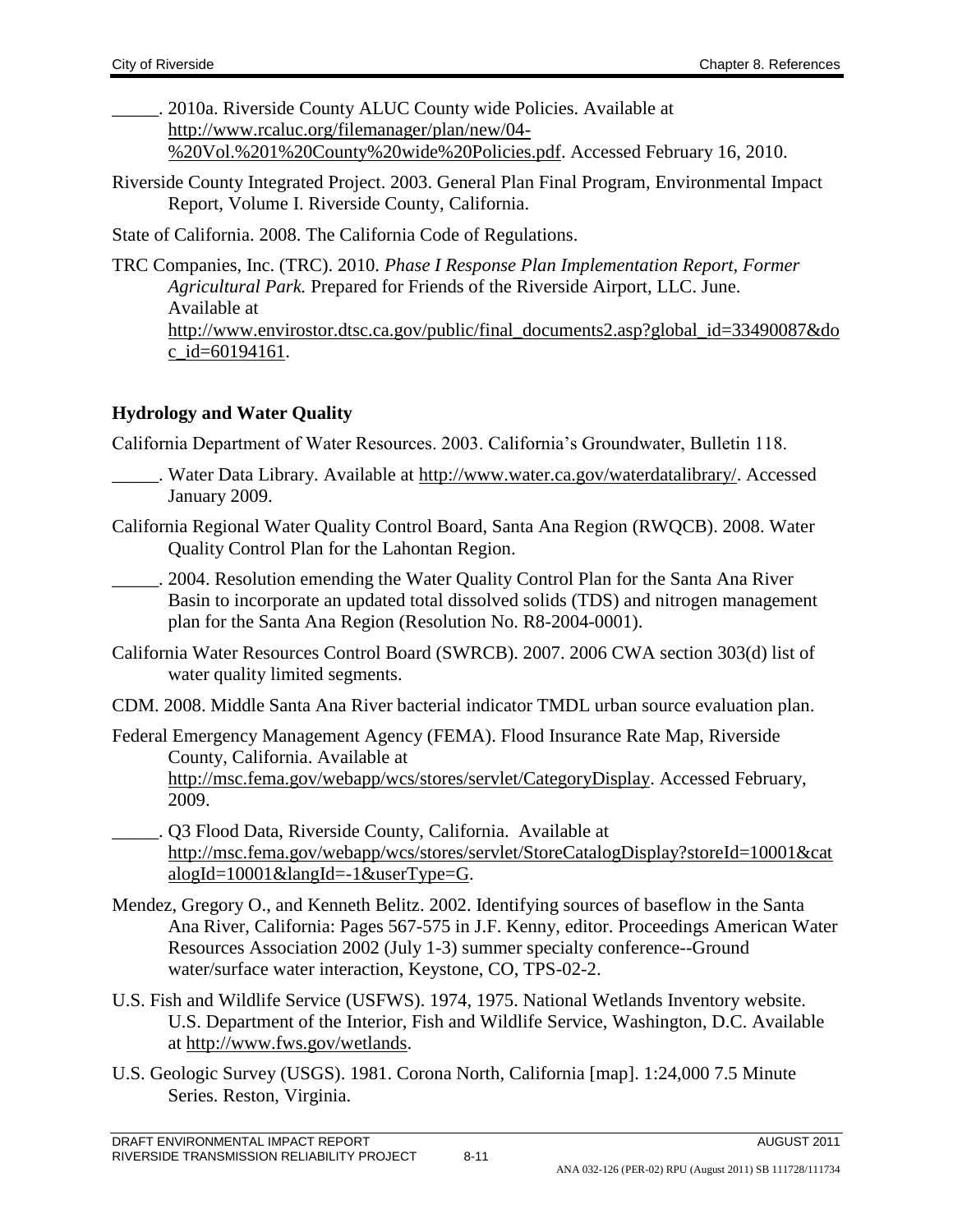. 2010a. Riverside County ALUC County wide Policies. Available at [http://www.rcaluc.org/filemanager/plan/new/04-](http://www.rcaluc.org/filemanager/plan/new/04-%20Vol.%201%20County%20wide%20Policies.pdf) [%20Vol.%201%20County%20wide%20Policies.pdf.](http://www.rcaluc.org/filemanager/plan/new/04-%20Vol.%201%20County%20wide%20Policies.pdf) Accessed February 16, 2010.

Riverside County Integrated Project. 2003. General Plan Final Program, Environmental Impact Report, Volume I. Riverside County, California.

State of California. 2008. The California Code of Regulations.

TRC Companies, Inc. (TRC). 2010. *Phase I Response Plan Implementation Report, Former Agricultural Park.* Prepared for Friends of the Riverside Airport, LLC. June. Available at [http://www.envirostor.dtsc.ca.gov/public/final\\_documents2.asp?global\\_id=33490087&do](http://www.envirostor.dtsc.ca.gov/public/final_documents2.asp?global_id=33490087&doc_id=60194161) [c\\_id=60194161.](http://www.envirostor.dtsc.ca.gov/public/final_documents2.asp?global_id=33490087&doc_id=60194161)

### **Hydrology and Water Quality**

California Department of Water Resources. 2003. California's Groundwater, Bulletin 118.

- Water Data Library. Available at [http://www.water.ca.gov/waterdatalibrary/.](http://www.water.ca.gov/waterdatalibrary/) Accessed January 2009.
- California Regional Water Quality Control Board, Santa Ana Region (RWQCB). 2008. Water Quality Control Plan for the Lahontan Region.
	- \_\_\_\_\_. 2004. Resolution emending the Water Quality Control Plan for the Santa Ana River Basin to incorporate an updated total dissolved solids (TDS) and nitrogen management plan for the Santa Ana Region (Resolution No. R8-2004-0001).
- California Water Resources Control Board (SWRCB). 2007. 2006 CWA section 303(d) list of water quality limited segments.
- CDM. 2008. Middle Santa Ana River bacterial indicator TMDL urban source evaluation plan.
- Federal Emergency Management Agency (FEMA). Flood Insurance Rate Map, Riverside County, California. Available at [http://msc.fema.gov/webapp/wcs/stores/servlet/CategoryDisplay.](http://msc.fema.gov/webapp/wcs/stores/servlet/CategoryDisplay) Accessed February, 2009.
- \_\_\_\_\_. Q3 Flood Data, Riverside County, California. Available at [http://msc.fema.gov/webapp/wcs/stores/servlet/StoreCatalogDisplay?storeId=10001&cat](http://msc.fema.gov/webapp/wcs/stores/servlet/StoreCatalogDisplay?storeId=10001&catalogId=10001&langId=-1&userType=G) [alogId=10001&langId=-1&userType=G.](http://msc.fema.gov/webapp/wcs/stores/servlet/StoreCatalogDisplay?storeId=10001&catalogId=10001&langId=-1&userType=G)
- Mendez, Gregory O., and Kenneth Belitz. 2002. Identifying sources of baseflow in the Santa Ana River, California: Pages 567-575 in J.F. Kenny, editor. Proceedings American Water Resources Association 2002 (July 1-3) summer specialty conference--Ground water/surface water interaction, Keystone, CO, TPS-02-2.
- U.S. Fish and Wildlife Service (USFWS). 1974, 1975. National Wetlands Inventory website. U.S. Department of the Interior, Fish and Wildlife Service, Washington, D.C. Available at [http://www.fws.gov/wetlands.](http://www.fws.gov/wetlands)
- U.S. Geologic Survey (USGS). 1981. Corona North, California [map]. 1:24,000 7.5 Minute Series. Reston, Virginia.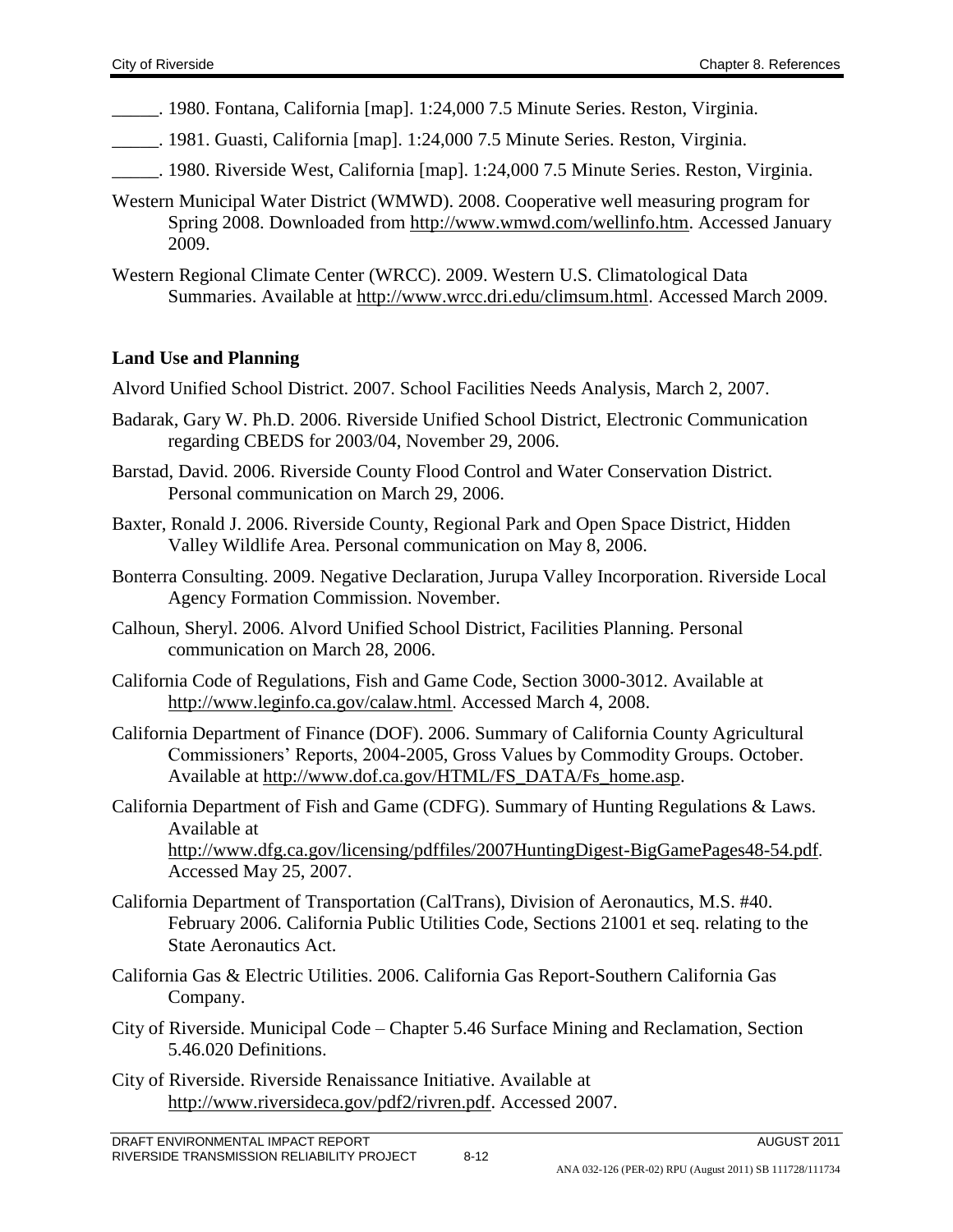- \_\_\_\_\_. 1980. Fontana, California [map]. 1:24,000 7.5 Minute Series. Reston, Virginia.
- \_\_\_\_\_. 1981. Guasti, California [map]. 1:24,000 7.5 Minute Series. Reston, Virginia.
- \_\_\_\_\_. 1980. Riverside West, California [map]. 1:24,000 7.5 Minute Series. Reston, Virginia.
- Western Municipal Water District (WMWD). 2008. Cooperative well measuring program for Spring 2008. Downloaded from [http://www.wmwd.com/wellinfo.htm.](http://www.wmwd.com/wellinfo.htm) Accessed January 2009.
- Western Regional Climate Center (WRCC). 2009. Western U.S. Climatological Data Summaries. Available at [http://www.wrcc.dri.edu/climsum.html.](http://www.wrcc.dri.edu/climsum.html) Accessed March 2009.

### **Land Use and Planning**

Alvord Unified School District. 2007. School Facilities Needs Analysis, March 2, 2007.

- Badarak, Gary W. Ph.D. 2006. Riverside Unified School District, Electronic Communication regarding CBEDS for 2003/04, November 29, 2006.
- Barstad, David. 2006. Riverside County Flood Control and Water Conservation District. Personal communication on March 29, 2006.
- Baxter, Ronald J. 2006. Riverside County, Regional Park and Open Space District, Hidden Valley Wildlife Area. Personal communication on May 8, 2006.
- Bonterra Consulting. 2009. Negative Declaration, Jurupa Valley Incorporation. Riverside Local Agency Formation Commission. November.
- Calhoun, Sheryl. 2006. Alvord Unified School District, Facilities Planning. Personal communication on March 28, 2006.
- California Code of Regulations, Fish and Game Code, Section 3000-3012. Available at <http://www.leginfo.ca.gov/calaw.html>. Accessed March 4, 2008.
- California Department of Finance (DOF). 2006. Summary of California County Agricultural Commissioners' Reports, 2004-2005, Gross Values by Commodity Groups. October. Available at [http://www.dof.ca.gov/HTML/FS\\_DATA/Fs\\_home.asp.](http://www.dof.ca.gov/HTML/FS_DATA/Fs_home.asp)
- California Department of Fish and Game (CDFG). Summary of Hunting Regulations & Laws. Available at <http://www.dfg.ca.gov/licensing/pdffiles/2007HuntingDigest-BigGamePages48-54.pdf>. Accessed May 25, 2007.
- California Department of Transportation (CalTrans), Division of Aeronautics, M.S. #40. February 2006. California Public Utilities Code, Sections 21001 et seq. relating to the State Aeronautics Act.
- California Gas & Electric Utilities. 2006. California Gas Report-Southern California Gas Company.
- City of Riverside. Municipal Code Chapter 5.46 Surface Mining and Reclamation, Section 5.46.020 Definitions.
- City of Riverside. Riverside Renaissance Initiative. Available at [http://www.riversideca.gov/pdf2/rivren.pdf.](http://www.riversideca.gov/pdf2/rivren.pdf) Accessed 2007.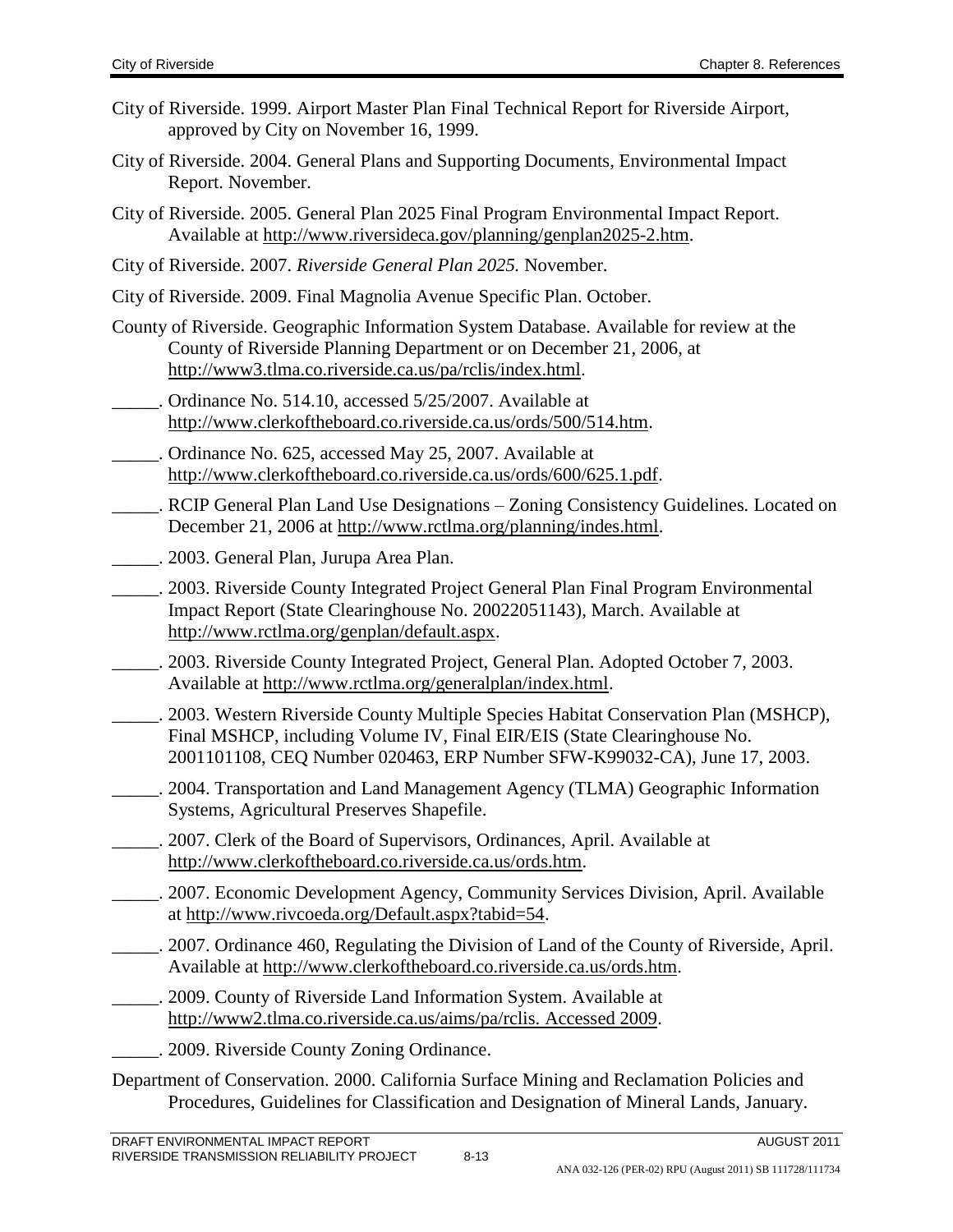- City of Riverside. 1999. Airport Master Plan Final Technical Report for Riverside Airport, approved by City on November 16, 1999.
- City of Riverside. 2004. General Plans and Supporting Documents, Environmental Impact Report. November.
- City of Riverside. 2005. General Plan 2025 Final Program Environmental Impact Report. Available at [http://www.riversideca.gov/planning/genplan2025-2.htm.](http://www.riversideca.gov/planning/genplan2025-2.htm)
- City of Riverside. 2007. *Riverside General Plan 2025.* November.
- City of Riverside. 2009. Final Magnolia Avenue Specific Plan. October.
- County of Riverside. Geographic Information System Database. Available for review at the County of Riverside Planning Department or on December 21, 2006, at [http://www3.tlma.co.riverside.ca.us/pa/rclis/index.html.](http://www3.tlma.co.riverside.ca.us/pa/rclis/index.html)
- Ordinance No. 514.10, accessed 5/25/2007. Available at [http://www.clerkoftheboard.co.riverside.ca.us/ords/500/514.htm.](http://www.clerkoftheboard.co.riverside.ca.us/ords/500/514.htm)
- \_\_\_\_\_. Ordinance No. 625, accessed May 25, 2007. Available at [http://www.clerkoftheboard.co.riverside.ca.us/ords/600/625.1.pdf.](http://www.clerkoftheboard.co.riverside.ca.us/ords/600/625.1.pdf)
- \_\_\_\_\_. RCIP General Plan Land Use Designations Zoning Consistency Guidelines*.* Located on December 21, 2006 at [http://www.rctlma.org/planning/indes.html.](http://www.rctlma.org/planning/indes.html)
- \_\_\_\_\_. 2003. General Plan, Jurupa Area Plan.
- \_\_\_\_\_. 2003. Riverside County Integrated Project General Plan Final Program Environmental Impact Report (State Clearinghouse No. 20022051143), March. Available at [http://www.rctlma.org/genplan/default.aspx.](http://www.rctlma.org/genplan/default.aspx)
- \_\_\_\_\_. 2003. Riverside County Integrated Project, General Plan. Adopted October 7, 2003. Available at [http://www.rctlma.org/generalplan/index.html.](http://www.rctlma.org/generalplan/index.html)
- \_\_\_\_\_. 2003. Western Riverside County Multiple Species Habitat Conservation Plan (MSHCP), Final MSHCP, including Volume IV, Final EIR/EIS (State Clearinghouse No. 2001101108, CEQ Number 020463, ERP Number SFW-K99032-CA), June 17, 2003.
- \_\_\_\_\_. 2004. Transportation and Land Management Agency (TLMA) Geographic Information Systems, Agricultural Preserves Shapefile.
- \_\_\_\_\_. 2007. Clerk of the Board of Supervisors, Ordinances, April. Available at [http://www.clerkoftheboard.co.riverside.ca.us/ords.htm.](http://www.clerkoftheboard.co.riverside.ca.us/ords.htm)
- \_\_\_\_\_. 2007. Economic Development Agency, Community Services Division, April. Available at [http://www.rivcoeda.org/Default.aspx?tabid=54.](http://www.rivcoeda.org/Default.aspx?tabid=54)
- \_\_\_\_\_. 2007. Ordinance 460, Regulating the Division of Land of the County of Riverside, April. Available at [http://www.clerkoftheboard.co.riverside.ca.us/ords.htm.](http://www.clerkoftheboard.co.riverside.ca.us/ords.htm)
- \_\_\_\_\_. 2009. County of Riverside Land Information System. Available at [http://www2.tlma.co.riverside.ca.us/aims/pa/rclis. Accessed 2009.](http://www2.tlma.co.riverside.ca.us/aims/pa/rclis.%20Accessed%202009)
	- \_\_\_\_\_. 2009. Riverside County Zoning Ordinance.
- Department of Conservation. 2000. California Surface Mining and Reclamation Policies and Procedures, Guidelines for Classification and Designation of Mineral Lands, January.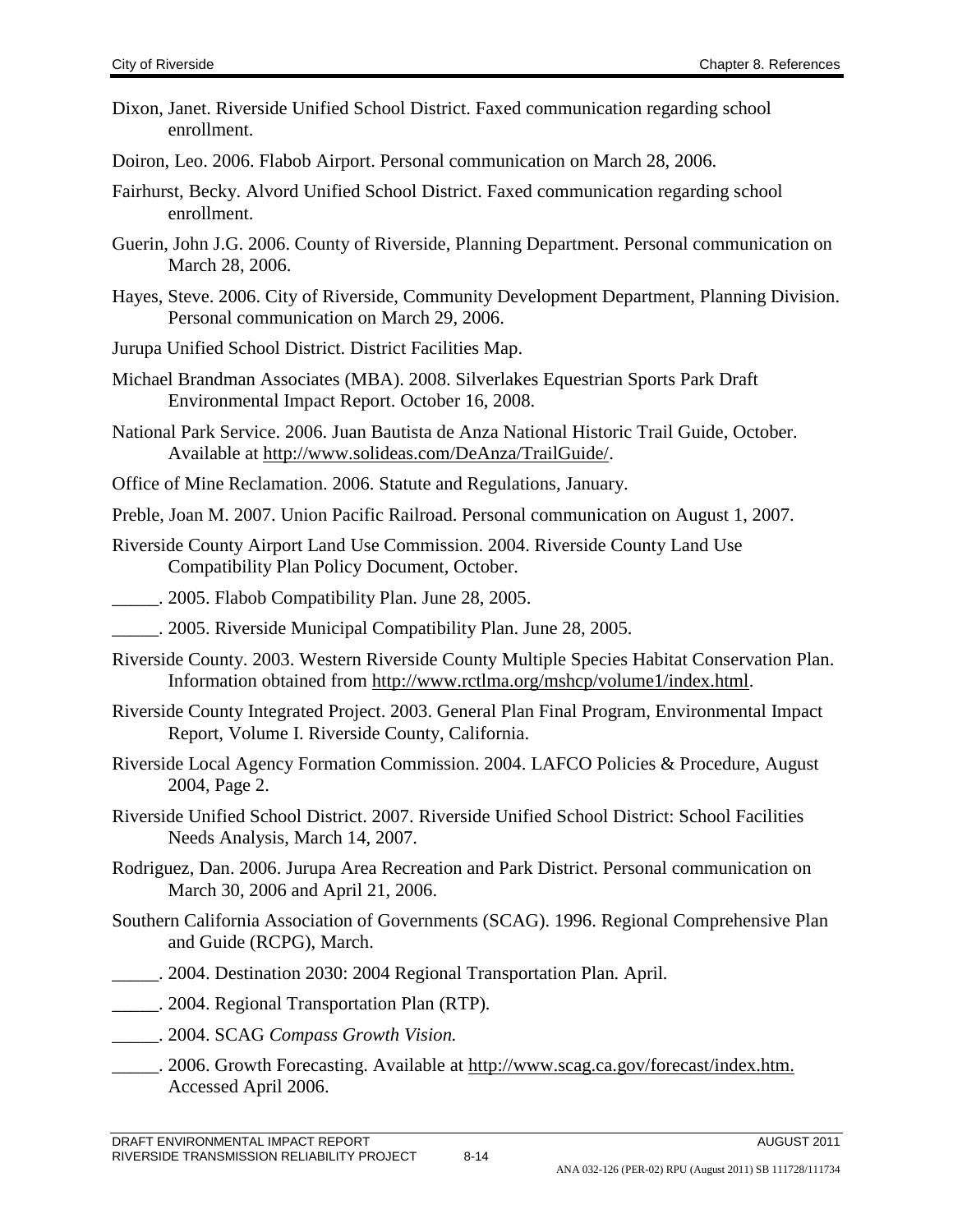- Dixon, Janet. Riverside Unified School District. Faxed communication regarding school enrollment.
- Doiron, Leo. 2006. Flabob Airport. Personal communication on March 28, 2006.
- Fairhurst, Becky. Alvord Unified School District. Faxed communication regarding school enrollment.
- Guerin, John J.G. 2006. County of Riverside, Planning Department. Personal communication on March 28, 2006.
- Hayes, Steve. 2006. City of Riverside, Community Development Department, Planning Division. Personal communication on March 29, 2006.
- Jurupa Unified School District. District Facilities Map.
- Michael Brandman Associates (MBA). 2008. Silverlakes Equestrian Sports Park Draft Environmental Impact Report. October 16, 2008.
- National Park Service. 2006. Juan Bautista de Anza National Historic Trail Guide, October. Available at [http://www.solideas.com/DeAnza/TrailGuide/.](http://www.solideas.com/DeAnza/TrailGuide/)
- Office of Mine Reclamation. 2006. Statute and Regulations, January.

Preble, Joan M. 2007. Union Pacific Railroad. Personal communication on August 1, 2007.

- Riverside County Airport Land Use Commission. 2004. Riverside County Land Use Compatibility Plan Policy Document, October.
- \_\_\_\_\_. 2005. Flabob Compatibility Plan. June 28, 2005.
- \_\_\_\_\_. 2005. Riverside Municipal Compatibility Plan. June 28, 2005.
- Riverside County. 2003. Western Riverside County Multiple Species Habitat Conservation Plan. Information obtained from [http://www.rctlma.org/mshcp/volume1/index.html.](http://www.rctlma.org/mshcp/volume1/index.html)
- Riverside County Integrated Project. 2003. General Plan Final Program, Environmental Impact Report, Volume I. Riverside County, California.
- Riverside Local Agency Formation Commission. 2004. LAFCO Policies & Procedure, August 2004, Page 2.
- Riverside Unified School District. 2007. Riverside Unified School District: School Facilities Needs Analysis, March 14, 2007.
- Rodriguez, Dan. 2006. Jurupa Area Recreation and Park District. Personal communication on March 30, 2006 and April 21, 2006.
- Southern California Association of Governments (SCAG). 1996. Regional Comprehensive Plan and Guide (RCPG), March.
- \_\_\_\_\_. 2004. Destination 2030: 2004 Regional Transportation Plan*.* April*.*
- \_\_\_\_\_. 2004. Regional Transportation Plan (RTP)*.*
- \_\_\_\_\_. 2004. SCAG *Compass Growth Vision.*
- \_\_\_\_\_. 2006. Growth Forecasting. Available at [http://www.scag.ca.gov/forecast/index.htm.](http://www.scag.ca.gov/forecast/index.htm.%20Accessed%20April%202006)  [Accessed April 2006.](http://www.scag.ca.gov/forecast/index.htm.%20Accessed%20April%202006)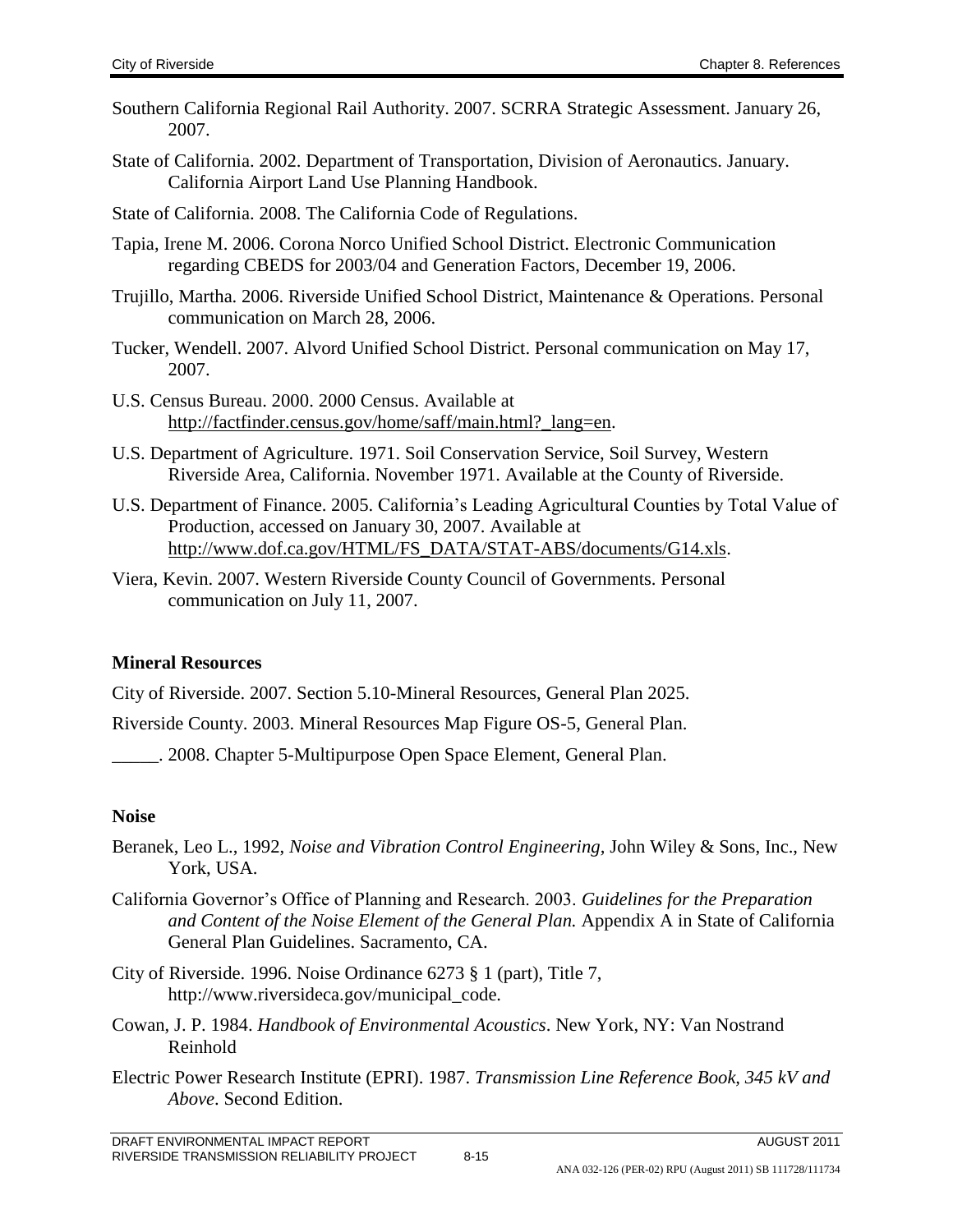- Southern California Regional Rail Authority. 2007. SCRRA Strategic Assessment. January 26, 2007.
- State of California. 2002. Department of Transportation, Division of Aeronautics. January. California Airport Land Use Planning Handbook.
- State of California. 2008. The California Code of Regulations.
- Tapia, Irene M. 2006. Corona Norco Unified School District. Electronic Communication regarding CBEDS for 2003/04 and Generation Factors, December 19, 2006.
- Trujillo, Martha. 2006. Riverside Unified School District, Maintenance & Operations. Personal communication on March 28, 2006.
- Tucker, Wendell. 2007. Alvord Unified School District. Personal communication on May 17, 2007.
- U.S. Census Bureau. 2000. 2000 Census. Available at [http://factfinder.census.gov/home/saff/main.html?\\_lang=en.](http://factfinder.census.gov/home/saff/main.html?_lang=en)
- U.S. Department of Agriculture. 1971. Soil Conservation Service, Soil Survey, Western Riverside Area, California. November 1971. Available at the County of Riverside.
- U.S. Department of Finance. 2005. California's Leading Agricultural Counties by Total Value of Production, accessed on January 30, 2007. Available at [http://www.dof.ca.gov/HTML/FS\\_DATA/STAT-ABS/documents/G14.xls.](http://www.dof.ca.gov/HTML/FS_DATA/STAT-ABS/documents/G14.xls)
- Viera, Kevin. 2007. Western Riverside County Council of Governments. Personal communication on July 11, 2007.

# **Mineral Resources**

City of Riverside. 2007. Section 5.10-Mineral Resources, General Plan 2025.

Riverside County. 2003. Mineral Resources Map Figure OS-5, General Plan.

\_\_\_\_\_. 2008. Chapter 5-Multipurpose Open Space Element, General Plan.

# **Noise**

- Beranek, Leo L., 1992, *Noise and Vibration Control Engineering,* John Wiley & Sons, Inc., New York, USA.
- California Governor's Office of Planning and Research. 2003. *Guidelines for the Preparation and Content of the Noise Element of the General Plan.* Appendix A in State of California General Plan Guidelines. Sacramento, CA.
- City of Riverside. 1996. Noise Ordinance 6273 § 1 (part), Title 7, http://www.riversideca.gov/municipal\_code.
- Cowan, J. P. 1984. *Handbook of Environmental Acoustics*. New York, NY: Van Nostrand Reinhold
- Electric Power Research Institute (EPRI). 1987. *Transmission Line Reference Book, 345 kV and Above*. Second Edition.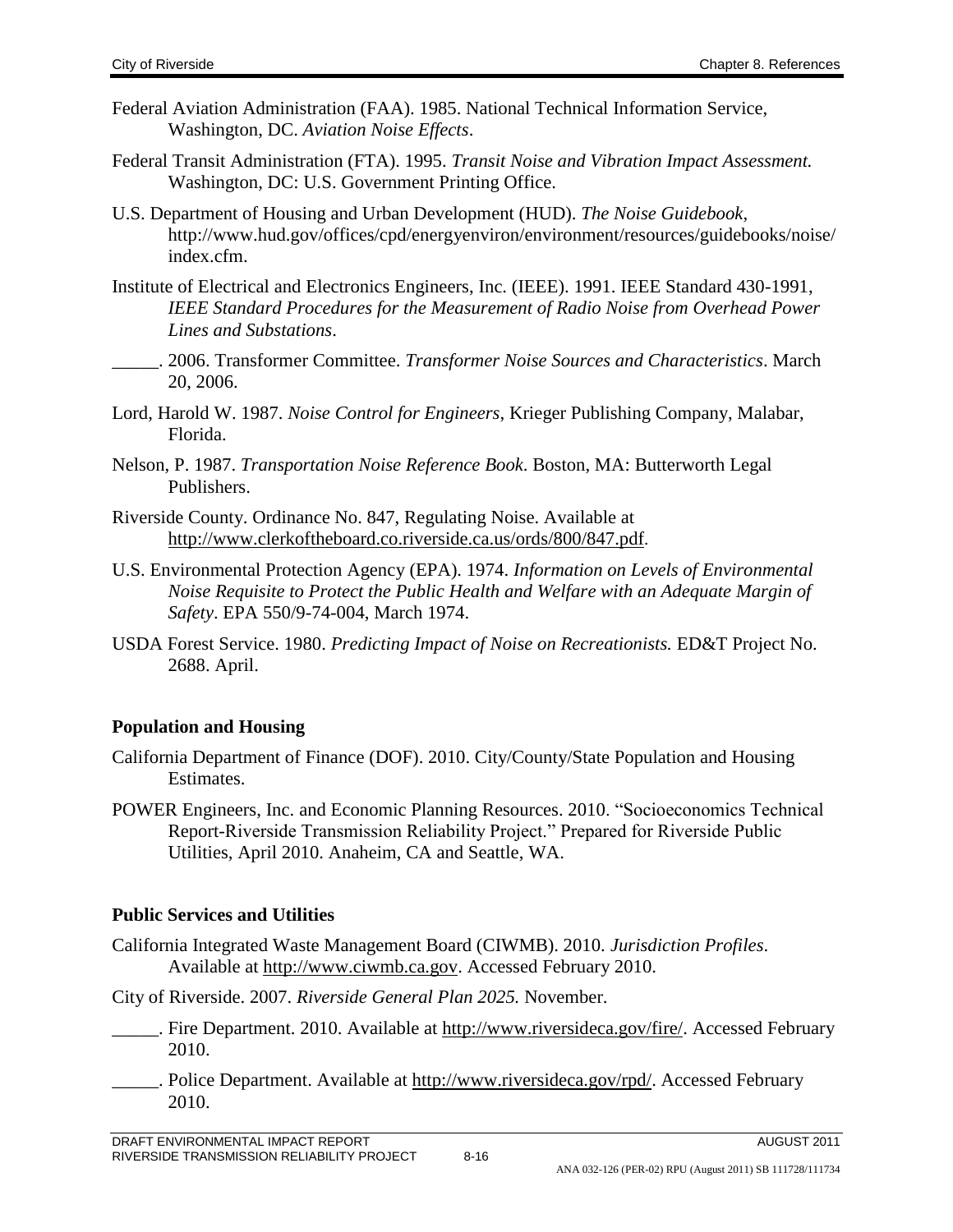- Federal Aviation Administration (FAA). 1985. National Technical Information Service, Washington, DC. *Aviation Noise Effects*.
- Federal Transit Administration (FTA). 1995. *Transit Noise and Vibration Impact Assessment.*  Washington, DC: U.S. Government Printing Office.
- U.S. Department of Housing and Urban Development (HUD). *The Noise Guidebook*, http://www.hud.gov/offices/cpd/energyenviron/environment/resources/guidebooks/noise/ index.cfm.
- Institute of Electrical and Electronics Engineers, Inc. (IEEE). 1991. IEEE Standard 430-1991, *IEEE Standard Procedures for the Measurement of Radio Noise from Overhead Power Lines and Substations*.
- \_\_\_\_\_. 2006. Transformer Committee. *Transformer Noise Sources and Characteristics*. March 20, 2006.
- Lord, Harold W. 1987. *Noise Control for Engineers*, Krieger Publishing Company, Malabar, Florida.
- Nelson, P. 1987. *Transportation Noise Reference Book*. Boston, MA: Butterworth Legal Publishers.
- Riverside County. Ordinance No. 847, Regulating Noise. Available at <http://www.clerkoftheboard.co.riverside.ca.us/ords/800/847.pdf>.
- U.S. Environmental Protection Agency (EPA). 1974. *Information on Levels of Environmental Noise Requisite to Protect the Public Health and Welfare with an Adequate Margin of Safety*. EPA 550/9-74-004, March 1974.
- USDA Forest Service. 1980. *Predicting Impact of Noise on Recreationists.* ED&T Project No. 2688. April.

# **Population and Housing**

- California Department of Finance (DOF). 2010. City/County/State Population and Housing Estimates.
- POWER Engineers, Inc. and Economic Planning Resources. 2010. "Socioeconomics Technical Report-Riverside Transmission Reliability Project." Prepared for Riverside Public Utilities, April 2010. Anaheim, CA and Seattle, WA.

# **Public Services and Utilities**

California Integrated Waste Management Board (CIWMB). 2010. *Jurisdiction Profiles*. Available at [http://www.ciwmb.ca.gov.](http://www.ciwmb.ca.gov/) Accessed February 2010.

City of Riverside. 2007. *Riverside General Plan 2025.* November.

- \_\_\_\_\_. Fire Department. 2010. Available at [http://www.riversideca.gov/fire/.](http://www.riversideca.gov/fire/) Accessed February 2010.
- . Police Department. Available at [http://www.riversideca.gov/rpd/.](http://www.riversideca.gov/rpd/) Accessed February 2010.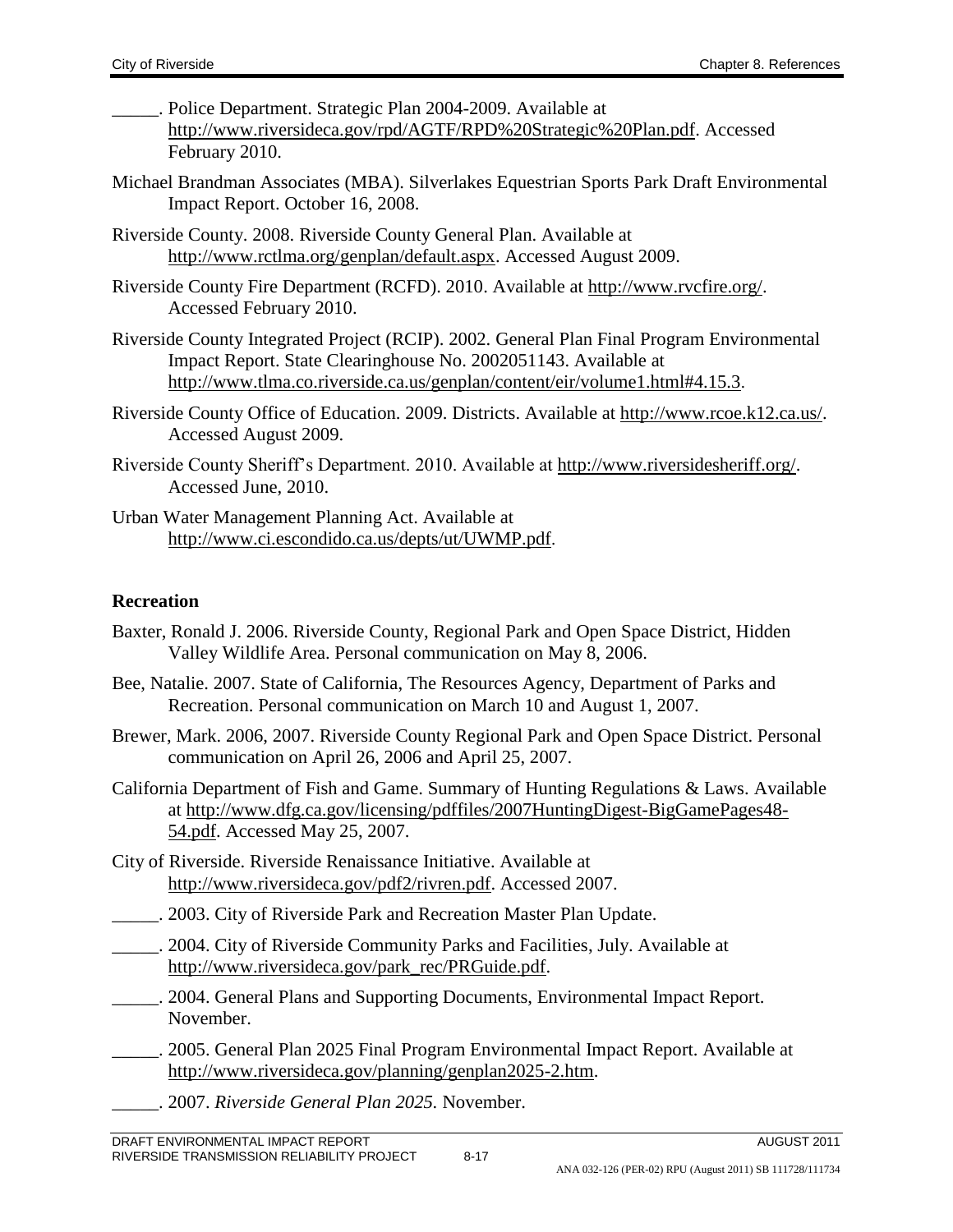- \_\_\_\_\_. Police Department. Strategic Plan 2004-2009. Available at [http://www.riversideca.gov/rpd/AGTF/RPD%20Strategic%20Plan.pdf.](http://www.riversideca.gov/rpd/AGTF/RPD%20Strategic%20Plan.pdf) Accessed February 2010.
- Michael Brandman Associates (MBA). Silverlakes Equestrian Sports Park Draft Environmental Impact Report. October 16, 2008.
- Riverside County. 2008. Riverside County General Plan. Available at [http://www.rctlma.org/genplan/default.aspx.](http://www.rctlma.org/genplan/default.aspx) Accessed August 2009.
- Riverside County Fire Department (RCFD). 2010. Available at [http://www.rvcfire.org/.](http://www.rvcfire.org/) Accessed February 2010.
- Riverside County Integrated Project (RCIP). 2002. General Plan Final Program Environmental Impact Report. State Clearinghouse No. 2002051143. Available at <http://www.tlma.co.riverside.ca.us/genplan/content/eir/volume1.html#4.15.3>.
- Riverside County Office of Education. 2009. Districts. Available at [http://www.rcoe.k12.ca.us/.](http://www.rcoe.k12.ca.us/) Accessed August 2009.
- Riverside County Sheriff's Department. 2010. Available at [http://www.riversidesheriff.org/.](http://www.riversidesheriff.org/) Accessed June, 2010.
- Urban Water Management Planning Act. Available at <http://www.ci.escondido.ca.us/depts/ut/UWMP.pdf>.

### **Recreation**

- Baxter, Ronald J. 2006. Riverside County, Regional Park and Open Space District, Hidden Valley Wildlife Area. Personal communication on May 8, 2006.
- Bee, Natalie. 2007. State of California, The Resources Agency, Department of Parks and Recreation. Personal communication on March 10 and August 1, 2007.
- Brewer, Mark. 2006, 2007. Riverside County Regional Park and Open Space District. Personal communication on April 26, 2006 and April 25, 2007.
- California Department of Fish and Game. Summary of Hunting Regulations & Laws. Available at [http://www.dfg.ca.gov/licensing/pdffiles/2007HuntingDigest-BigGamePages48-](http://www.dfg.ca.gov/licensing/pdffiles/2007HuntingDigest-BigGamePages48-54.pdf) [54.pdf.](http://www.dfg.ca.gov/licensing/pdffiles/2007HuntingDigest-BigGamePages48-54.pdf) Accessed May 25, 2007.
- City of Riverside. Riverside Renaissance Initiative. Available at [http://www.riversideca.gov/pdf2/rivren.pdf.](http://www.riversideca.gov/pdf2/rivren.pdf) Accessed 2007.
- \_\_\_\_\_. 2003. City of Riverside Park and Recreation Master Plan Update.
- \_\_\_\_\_. 2004. City of Riverside Community Parks and Facilities, July. Available at [http://www.riversideca.gov/park\\_rec/PRGuide.pdf.](http://www.riversideca.gov/park_rec/PRGuide.pdf)
- \_\_\_\_\_. 2004. General Plans and Supporting Documents, Environmental Impact Report. November.
- \_\_\_\_\_. 2005. General Plan 2025 Final Program Environmental Impact Report. Available at [http://www.riversideca.gov/planning/genplan2025-2.htm.](http://www.riversideca.gov/planning/genplan2025-2.htm)
	- \_\_\_\_\_. 2007. *Riverside General Plan 2025.* November.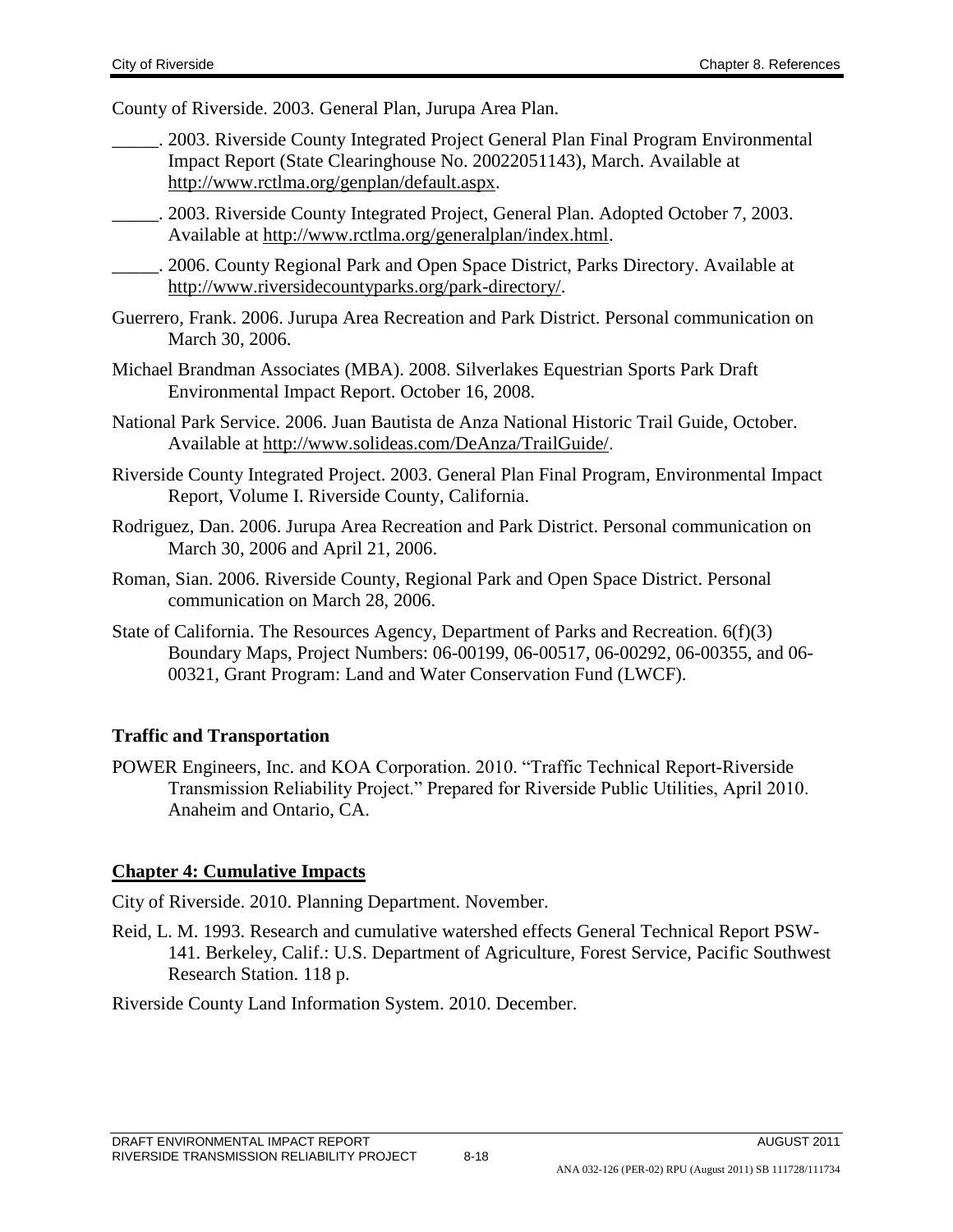County of Riverside. 2003. General Plan, Jurupa Area Plan.

- \_\_\_\_\_. 2003. Riverside County Integrated Project General Plan Final Program Environmental Impact Report (State Clearinghouse No. 20022051143), March. Available at [http://www.rctlma.org/genplan/default.aspx.](http://www.rctlma.org/genplan/default.aspx)
- \_\_\_\_\_. 2003. Riverside County Integrated Project, General Plan. Adopted October 7, 2003. Available at [http://www.rctlma.org/generalplan/index.html.](http://www.rctlma.org/generalplan/index.html)

\_\_\_\_\_. 2006. County Regional Park and Open Space District, Parks Directory. Available at [http://www.riversidecountyparks.org/park-directory/.](http://www.riversidecountyparks.org/park-directory/)

- Guerrero, Frank. 2006. Jurupa Area Recreation and Park District. Personal communication on March 30, 2006.
- Michael Brandman Associates (MBA). 2008. Silverlakes Equestrian Sports Park Draft Environmental Impact Report. October 16, 2008.
- National Park Service. 2006. Juan Bautista de Anza National Historic Trail Guide, October. Available at <http://www.solideas.com/DeAnza/TrailGuide/>.
- Riverside County Integrated Project. 2003. General Plan Final Program, Environmental Impact Report, Volume I. Riverside County, California.
- Rodriguez, Dan. 2006. Jurupa Area Recreation and Park District. Personal communication on March 30, 2006 and April 21, 2006.
- Roman, Sian. 2006. Riverside County, Regional Park and Open Space District. Personal communication on March 28, 2006.
- State of California. The Resources Agency, Department of Parks and Recreation. 6(f)(3) Boundary Maps, Project Numbers: 06-00199, 06-00517, 06-00292, 06-00355, and 06- 00321, Grant Program: Land and Water Conservation Fund (LWCF).

### **Traffic and Transportation**

POWER Engineers, Inc. and KOA Corporation. 2010. "Traffic Technical Report-Riverside Transmission Reliability Project." Prepared for Riverside Public Utilities, April 2010. Anaheim and Ontario, CA.

### **Chapter 4: Cumulative Impacts**

City of Riverside. 2010. Planning Department. November.

Reid, L. M. 1993. Research and cumulative watershed effects General Technical Report PSW-141. Berkeley, Calif.: U.S. Department of Agriculture, Forest Service, Pacific Southwest Research Station. 118 p.

Riverside County Land Information System. 2010. December.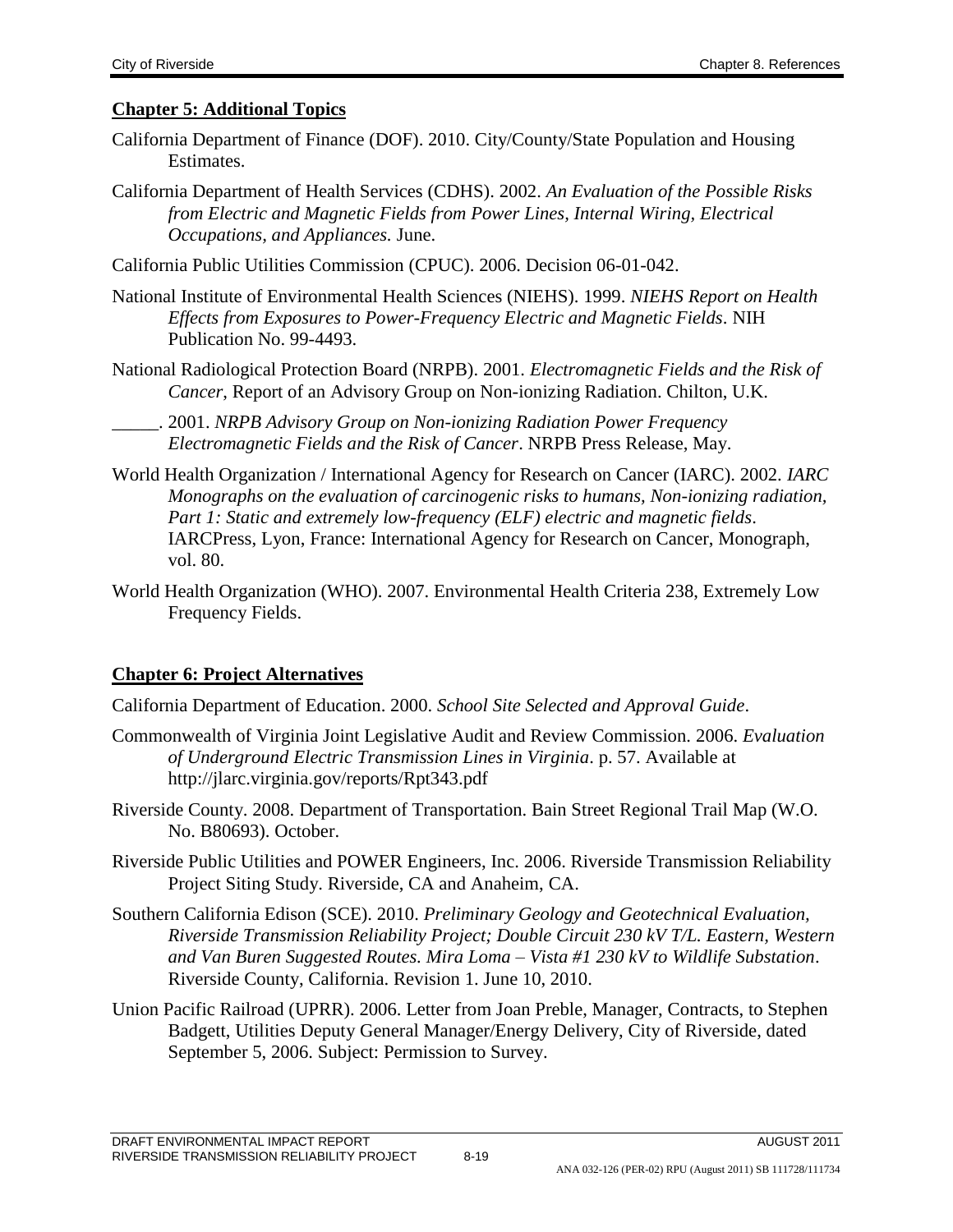#### **Chapter 5: Additional Topics**

- California Department of Finance (DOF). 2010. City/County/State Population and Housing Estimates.
- California Department of Health Services (CDHS). 2002. *An Evaluation of the Possible Risks from Electric and Magnetic Fields from Power Lines, Internal Wiring, Electrical Occupations, and Appliances.* June.
- California Public Utilities Commission (CPUC). 2006. Decision 06-01-042.
- National Institute of Environmental Health Sciences (NIEHS). 1999. *NIEHS Report on Health Effects from Exposures to Power-Frequency Electric and Magnetic Fields*. NIH Publication No. 99-4493.
- National Radiological Protection Board (NRPB). 2001. *Electromagnetic Fields and the Risk of Cancer*, Report of an Advisory Group on Non-ionizing Radiation. Chilton, U.K.

\_\_\_\_\_. 2001. *NRPB Advisory Group on Non-ionizing Radiation Power Frequency Electromagnetic Fields and the Risk of Cancer*. NRPB Press Release, May.

- World Health Organization / International Agency for Research on Cancer (IARC). 2002. *IARC Monographs on the evaluation of carcinogenic risks to humans, Non-ionizing radiation, Part 1: Static and extremely low-frequency (ELF) electric and magnetic fields*. IARCPress, Lyon, France: International Agency for Research on Cancer, Monograph, vol. 80.
- World Health Organization (WHO). 2007. Environmental Health Criteria 238, Extremely Low Frequency Fields.

### **Chapter 6: Project Alternatives**

California Department of Education. 2000. *School Site Selected and Approval Guide*.

- Commonwealth of Virginia Joint Legislative Audit and Review Commission. 2006. *Evaluation of Underground Electric Transmission Lines in Virginia*. p. 57. Available at http://jlarc.virginia.gov/reports/Rpt343.pdf
- Riverside County. 2008. Department of Transportation. Bain Street Regional Trail Map (W.O. No. B80693). October.
- Riverside Public Utilities and POWER Engineers, Inc. 2006. Riverside Transmission Reliability Project Siting Study. Riverside, CA and Anaheim, CA.
- Southern California Edison (SCE). 2010. *Preliminary Geology and Geotechnical Evaluation, Riverside Transmission Reliability Project; Double Circuit 230 kV T/L. Eastern, Western and Van Buren Suggested Routes. Mira Loma – Vista #1 230 kV to Wildlife Substation*. Riverside County, California. Revision 1. June 10, 2010.
- Union Pacific Railroad (UPRR). 2006. Letter from Joan Preble, Manager, Contracts, to Stephen Badgett, Utilities Deputy General Manager/Energy Delivery, City of Riverside, dated September 5, 2006. Subject: Permission to Survey.